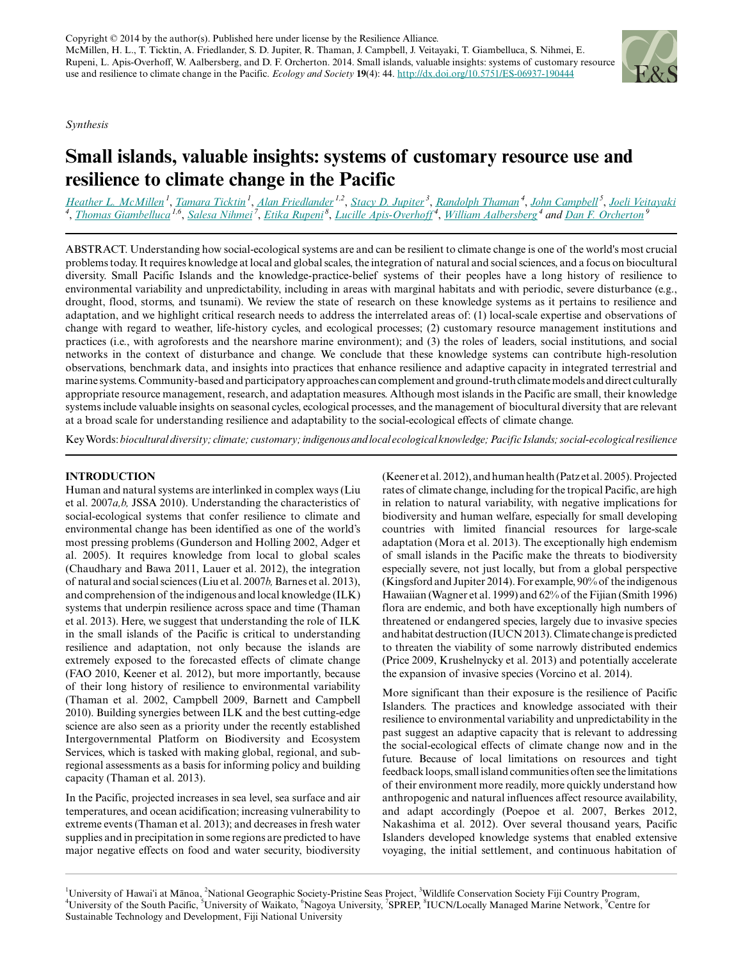*Synthesis*



# **Small islands, valuable insights: systems of customary resource use and resilience to climate change in the Pacific**

[Heather L. McMillen](mailto:hmcmille@hawaii.edu)<sup>1</sup>, [Tamara Ticktin](mailto:ticktin@hawaii.edu)<sup>1</sup>, [Alan Friedlander](mailto:alan.Friedlander@hawaii.edu)<sup>12</sup>, [Stacy D. Jupiter](mailto:sjupiter@wcs.org)<sup>3</sup>, [Randolph Thaman](mailto:randolph.thaman@usp.ac.fj)<sup>4</sup>, [John Campbell](mailto:j.campbell@waikato.ac.nz)<sup>5</sup>, [Joeli Veitayaki](mailto:joeli.veitayaki@usp.ac.fj)<br><sup>4</sup>, [Thomas Giambelluca](mailto:thomas@hawaii.edu)<sup>1,6</sup>, [Salesa Nihmei](mailto:salesan@sprep.org)<sup>7</sup>, [Etika Rupeni](mailto:etika.rupeni@iucn.org)<sup>8</sup>, Lucille Apis-Over

ABSTRACT. Understanding how social-ecological systems are and can be resilient to climate change is one of the world's most crucial problems today. It requires knowledge at local and global scales, the integration of natural and social sciences, and a focus on biocultural diversity. Small Pacific Islands and the knowledge-practice-belief systems of their peoples have a long history of resilience to environmental variability and unpredictability, including in areas with marginal habitats and with periodic, severe disturbance (e.g., drought, flood, storms, and tsunami). We review the state of research on these knowledge systems as it pertains to resilience and adaptation, and we highlight critical research needs to address the interrelated areas of: (1) local-scale expertise and observations of change with regard to weather, life-history cycles, and ecological processes; (2) customary resource management institutions and practices (i.e., with agroforests and the nearshore marine environment); and (3) the roles of leaders, social institutions, and social networks in the context of disturbance and change. We conclude that these knowledge systems can contribute high-resolution observations, benchmark data, and insights into practices that enhance resilience and adaptive capacity in integrated terrestrial and marine systems. Community-based and participatory approaches can complement and ground-truth climate models and direct culturally appropriate resource management, research, and adaptation measures. Although most islands in the Pacific are small, their knowledge systems include valuable insights on seasonal cycles, ecological processes, and the management of biocultural diversity that are relevant at a broad scale for understanding resilience and adaptability to the social-ecological effects of climate change.

Key Words: *biocultural diversity; climate; customary; indigenous and local ecological knowledge; Pacific Islands; social-ecological resilience*

# **INTRODUCTION**

Human and natural systems are interlinked in complex ways (Liu et al. 2007*a,b,* JSSA 2010). Understanding the characteristics of social-ecological systems that confer resilience to climate and environmental change has been identified as one of the world's most pressing problems (Gunderson and Holling 2002, Adger et al. 2005). It requires knowledge from local to global scales (Chaudhary and Bawa 2011, Lauer et al. 2012), the integration of natural and social sciences (Liu et al. 2007*b,* Barnes et al. 2013), and comprehension of the indigenous and local knowledge (ILK) systems that underpin resilience across space and time (Thaman et al. 2013). Here, we suggest that understanding the role of ILK in the small islands of the Pacific is critical to understanding resilience and adaptation, not only because the islands are extremely exposed to the forecasted effects of climate change (FAO 2010, Keener et al. 2012), but more importantly, because of their long history of resilience to environmental variability (Thaman et al. 2002, Campbell 2009, Barnett and Campbell 2010). Building synergies between ILK and the best cutting-edge science are also seen as a priority under the recently established Intergovernmental Platform on Biodiversity and Ecosystem Services, which is tasked with making global, regional, and subregional assessments as a basis for informing policy and building capacity (Thaman et al. 2013).

In the Pacific, projected increases in sea level, sea surface and air temperatures, and ocean acidification; increasing vulnerability to extreme events (Thaman et al. 2013); and decreases in fresh water supplies and in precipitation in some regions are predicted to have major negative effects on food and water security, biodiversity (Keener et al. 2012), and human health (Patz et al. 2005). Projected rates of climate change, including for the tropical Pacific, are high in relation to natural variability, with negative implications for biodiversity and human welfare, especially for small developing countries with limited financial resources for large-scale adaptation (Mora et al. 2013). The exceptionally high endemism of small islands in the Pacific make the threats to biodiversity especially severe, not just locally, but from a global perspective (Kingsford and Jupiter 2014). For example, 90% of the indigenous Hawaiian (Wagner et al. 1999) and 62% of the Fijian (Smith 1996) flora are endemic, and both have exceptionally high numbers of threatened or endangered species, largely due to invasive species and habitat destruction (IUCN 2013). Climate change is predicted to threaten the viability of some narrowly distributed endemics (Price 2009, Krushelnycky et al. 2013) and potentially accelerate the expansion of invasive species (Vorcino et al. 2014).

More significant than their exposure is the resilience of Pacific Islanders. The practices and knowledge associated with their resilience to environmental variability and unpredictability in the past suggest an adaptive capacity that is relevant to addressing the social-ecological effects of climate change now and in the future. Because of local limitations on resources and tight feedback loops, small island communities often see the limitations of their environment more readily, more quickly understand how anthropogenic and natural influences affect resource availability, and adapt accordingly (Poepoe et al. 2007, Berkes 2012, Nakashima et al. 2012). Over several thousand years, Pacific Islanders developed knowledge systems that enabled extensive voyaging, the initial settlement, and continuous habitation of

<sup>&</sup>lt;sup>1</sup>University of Hawaiʻi at Mānoa, <sup>2</sup>National Geographic Society-Pristine Seas Project, <sup>3</sup>Wildlife Conservation Society Fiji Country Program, <sup>4</sup>University of the South Pacific, <sup>5</sup>University of Waikato, <sup>6</sup>Nagoya University, <sup>7</sup>SPREP, <sup>8</sup>IUCN/Locally Managed Marine Network, <sup>9</sup>Centre for Sustainable Technology and Development, Fiji National University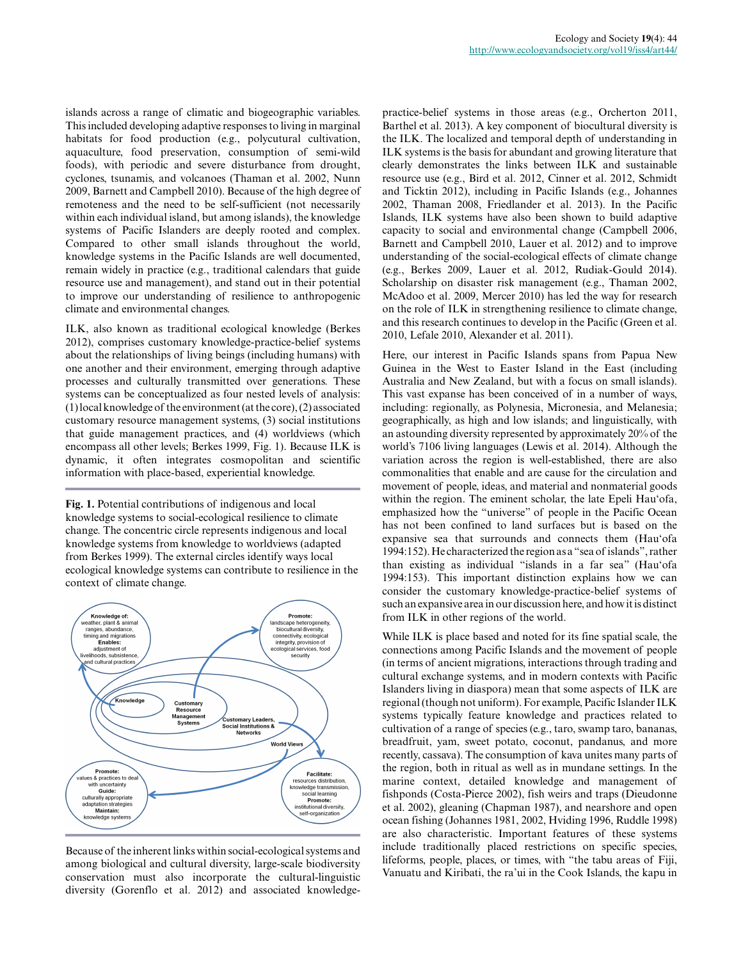islands across a range of climatic and biogeographic variables. This included developing adaptive responses to living in marginal habitats for food production (e.g., polycutural cultivation, aquaculture, food preservation, consumption of semi-wild foods), with periodic and severe disturbance from drought, cyclones, tsunamis, and volcanoes (Thaman et al. 2002, Nunn 2009, Barnett and Campbell 2010). Because of the high degree of remoteness and the need to be self-sufficient (not necessarily within each individual island, but among islands), the knowledge systems of Pacific Islanders are deeply rooted and complex. Compared to other small islands throughout the world, knowledge systems in the Pacific Islands are well documented, remain widely in practice (e.g., traditional calendars that guide resource use and management), and stand out in their potential to improve our understanding of resilience to anthropogenic climate and environmental changes.

ILK, also known as traditional ecological knowledge (Berkes 2012), comprises customary knowledge-practice-belief systems about the relationships of living beings (including humans) with one another and their environment, emerging through adaptive processes and culturally transmitted over generations. These systems can be conceptualized as four nested levels of analysis: (1) local knowledge of the environment (at the core), (2) associated customary resource management systems, (3) social institutions that guide management practices, and (4) worldviews (which encompass all other levels; Berkes 1999, Fig. 1). Because ILK is dynamic, it often integrates cosmopolitan and scientific information with place-based, experiential knowledge.

**Fig. 1.** Potential contributions of indigenous and local knowledge systems to social-ecological resilience to climate change. The concentric circle represents indigenous and local knowledge systems from knowledge to worldviews (adapted from Berkes 1999). The external circles identify ways local ecological knowledge systems can contribute to resilience in the context of climate change.



Because of the inherent links within social-ecological systems and among biological and cultural diversity, large-scale biodiversity conservation must also incorporate the cultural-linguistic diversity (Gorenflo et al. 2012) and associated knowledge-

practice-belief systems in those areas (e.g., Orcherton 2011, Barthel et al. 2013). A key component of biocultural diversity is the ILK. The localized and temporal depth of understanding in ILK systems is the basis for abundant and growing literature that clearly demonstrates the links between ILK and sustainable resource use (e.g., Bird et al. 2012, Cinner et al. 2012, Schmidt and Ticktin 2012), including in Pacific Islands (e.g., Johannes 2002, Thaman 2008, Friedlander et al. 2013). In the Pacific Islands, ILK systems have also been shown to build adaptive capacity to social and environmental change (Campbell 2006, Barnett and Campbell 2010, Lauer et al. 2012) and to improve understanding of the social-ecological effects of climate change (e.g., Berkes 2009, Lauer et al. 2012, Rudiak-Gould 2014). Scholarship on disaster risk management (e.g., Thaman 2002, McAdoo et al. 2009, Mercer 2010) has led the way for research on the role of ILK in strengthening resilience to climate change, and this research continues to develop in the Pacific (Green et al. 2010, Lefale 2010, Alexander et al. 2011).

Here, our interest in Pacific Islands spans from Papua New Guinea in the West to Easter Island in the East (including Australia and New Zealand, but with a focus on small islands). This vast expanse has been conceived of in a number of ways, including: regionally, as Polynesia, Micronesia, and Melanesia; geographically, as high and low islands; and linguistically, with an astounding diversity represented by approximately 20% of the world's 7106 living languages (Lewis et al. 2014). Although the variation across the region is well-established, there are also commonalities that enable and are cause for the circulation and movement of people, ideas, and material and nonmaterial goods within the region. The eminent scholar, the late Epeli Hau'ofa, emphasized how the "universe" of people in the Pacific Ocean has not been confined to land surfaces but is based on the expansive sea that surrounds and connects them (Hau'ofa 1994:152). He characterized the region as a "sea of islands", rather than existing as individual "islands in a far sea" (Hau'ofa 1994:153). This important distinction explains how we can consider the customary knowledge-practice-belief systems of such an expansive area in our discussion here, and how it is distinct from ILK in other regions of the world.

While ILK is place based and noted for its fine spatial scale, the connections among Pacific Islands and the movement of people (in terms of ancient migrations, interactions through trading and cultural exchange systems, and in modern contexts with Pacific Islanders living in diaspora) mean that some aspects of ILK are regional (though not uniform). For example, Pacific Islander ILK systems typically feature knowledge and practices related to cultivation of a range of species (e.g., taro, swamp taro, bananas, breadfruit, yam, sweet potato, coconut, pandanus, and more recently, cassava). The consumption of kava unites many parts of the region, both in ritual as well as in mundane settings. In the marine context, detailed knowledge and management of fishponds (Costa-Pierce 2002), fish weirs and traps (Dieudonne et al. 2002), gleaning (Chapman 1987), and nearshore and open ocean fishing (Johannes 1981, 2002, Hviding 1996, Ruddle 1998) are also characteristic. Important features of these systems include traditionally placed restrictions on specific species, lifeforms, people, places, or times, with "the tabu areas of Fiji, Vanuatu and Kiribati, the ra'ui in the Cook Islands, the kapu in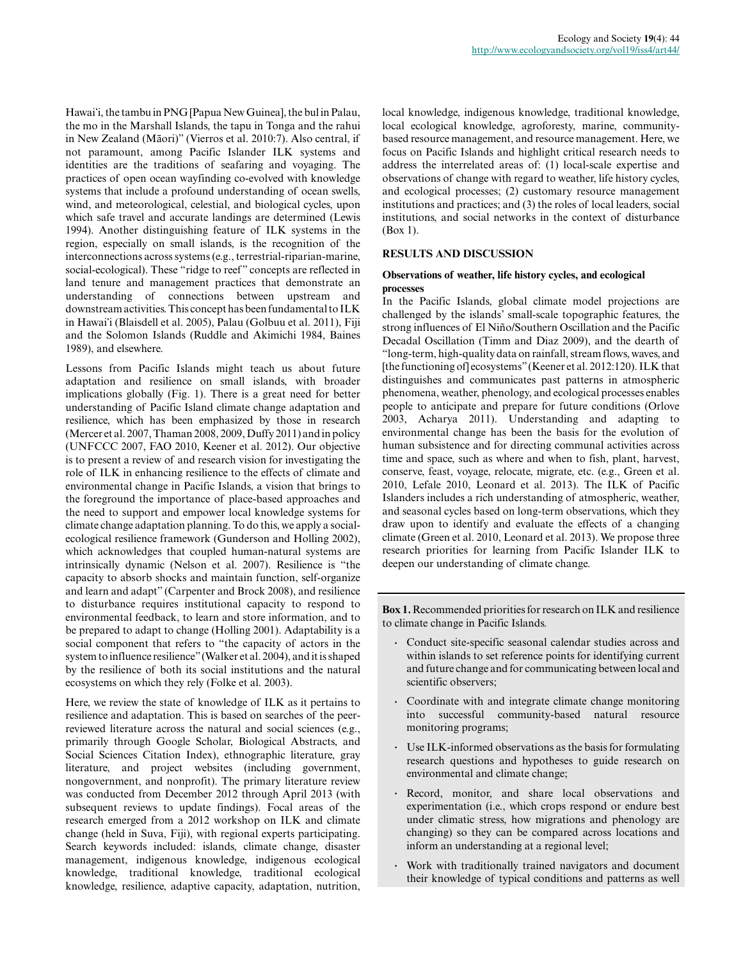Hawaiʻi, the tambu in PNG [Papua New Guinea], the bul in Palau, the mo in the Marshall Islands, the tapu in Tonga and the rahui in New Zealand (Māori)" (Vierros et al. 2010:7). Also central, if not paramount, among Pacific Islander ILK systems and identities are the traditions of seafaring and voyaging. The practices of open ocean wayfinding co-evolved with knowledge systems that include a profound understanding of ocean swells, wind, and meteorological, celestial, and biological cycles, upon which safe travel and accurate landings are determined (Lewis 1994). Another distinguishing feature of ILK systems in the region, especially on small islands, is the recognition of the interconnections across systems (e.g., terrestrial-riparian-marine, social-ecological). These "ridge to reef" concepts are reflected in land tenure and management practices that demonstrate an understanding of connections between upstream and downstream activities. This concept has been fundamental to ILK in Hawaiʻi (Blaisdell et al. 2005), Palau (Golbuu et al. 2011), Fiji and the Solomon Islands (Ruddle and Akimichi 1984, Baines 1989), and elsewhere.

Lessons from Pacific Islands might teach us about future adaptation and resilience on small islands, with broader implications globally (Fig. 1). There is a great need for better understanding of Pacific Island climate change adaptation and resilience, which has been emphasized by those in research (Mercer et al. 2007, Thaman 2008, 2009, Duffy 2011) and in policy (UNFCCC 2007, FAO 2010, Keener et al. 2012). Our objective is to present a review of and research vision for investigating the role of ILK in enhancing resilience to the effects of climate and environmental change in Pacific Islands, a vision that brings to the foreground the importance of place-based approaches and the need to support and empower local knowledge systems for climate change adaptation planning. To do this, we apply a socialecological resilience framework (Gunderson and Holling 2002), which acknowledges that coupled human-natural systems are intrinsically dynamic (Nelson et al. 2007). Resilience is "the capacity to absorb shocks and maintain function, self-organize and learn and adapt" (Carpenter and Brock 2008), and resilience to disturbance requires institutional capacity to respond to environmental feedback, to learn and store information, and to be prepared to adapt to change (Holling 2001). Adaptability is a social component that refers to "the capacity of actors in the system to influence resilience" (Walker et al. 2004), and it is shaped by the resilience of both its social institutions and the natural ecosystems on which they rely (Folke et al. 2003).

Here, we review the state of knowledge of ILK as it pertains to resilience and adaptation. This is based on searches of the peerreviewed literature across the natural and social sciences (e.g., primarily through Google Scholar, Biological Abstracts, and Social Sciences Citation Index), ethnographic literature, gray literature, and project websites (including government, nongovernment, and nonprofit). The primary literature review was conducted from December 2012 through April 2013 (with subsequent reviews to update findings). Focal areas of the research emerged from a 2012 workshop on ILK and climate change (held in Suva, Fiji), with regional experts participating. Search keywords included: islands, climate change, disaster management, indigenous knowledge, indigenous ecological knowledge, traditional knowledge, traditional ecological knowledge, resilience, adaptive capacity, adaptation, nutrition,

local knowledge, indigenous knowledge, traditional knowledge, local ecological knowledge, agroforesty, marine, communitybased resource management, and resource management. Here, we focus on Pacific Islands and highlight critical research needs to address the interrelated areas of: (1) local-scale expertise and observations of change with regard to weather, life history cycles, and ecological processes; (2) customary resource management institutions and practices; and (3) the roles of local leaders, social institutions, and social networks in the context of disturbance (Box 1).

## **RESULTS AND DISCUSSION**

#### **Observations of weather, life history cycles, and ecological processes**

In the Pacific Islands, global climate model projections are challenged by the islands' small-scale topographic features, the strong influences of El Niño/Southern Oscillation and the Pacific Decadal Oscillation (Timm and Diaz 2009), and the dearth of "long-term, high-quality data on rainfall, stream flows, waves, and [the functioning of] ecosystems" (Keener et al. 2012:120). ILK that distinguishes and communicates past patterns in atmospheric phenomena, weather, phenology, and ecological processes enables people to anticipate and prepare for future conditions (Orlove 2003, Acharya 2011). Understanding and adapting to environmental change has been the basis for the evolution of human subsistence and for directing communal activities across time and space, such as where and when to fish, plant, harvest, conserve, feast, voyage, relocate, migrate, etc. (e.g., Green et al. 2010, Lefale 2010, Leonard et al. 2013). The ILK of Pacific Islanders includes a rich understanding of atmospheric, weather, and seasonal cycles based on long-term observations, which they draw upon to identify and evaluate the effects of a changing climate (Green et al. 2010, Leonard et al. 2013). We propose three research priorities for learning from Pacific Islander ILK to deepen our understanding of climate change.

**Box 1.** Recommended priorities for research on ILK and resilience to climate change in Pacific Islands.

- **.** Conduct site-specific seasonal calendar studies across and within islands to set reference points for identifying current and future change and for communicating between local and scientific observers;
- **.** Coordinate with and integrate climate change monitoring into successful community-based natural resource monitoring programs;
- **.** Use ILK-informed observations as the basis for formulating research questions and hypotheses to guide research on environmental and climate change;
- **.** Record, monitor, and share local observations and experimentation (i.e., which crops respond or endure best under climatic stress, how migrations and phenology are changing) so they can be compared across locations and inform an understanding at a regional level;
- **.** Work with traditionally trained navigators and document their knowledge of typical conditions and patterns as well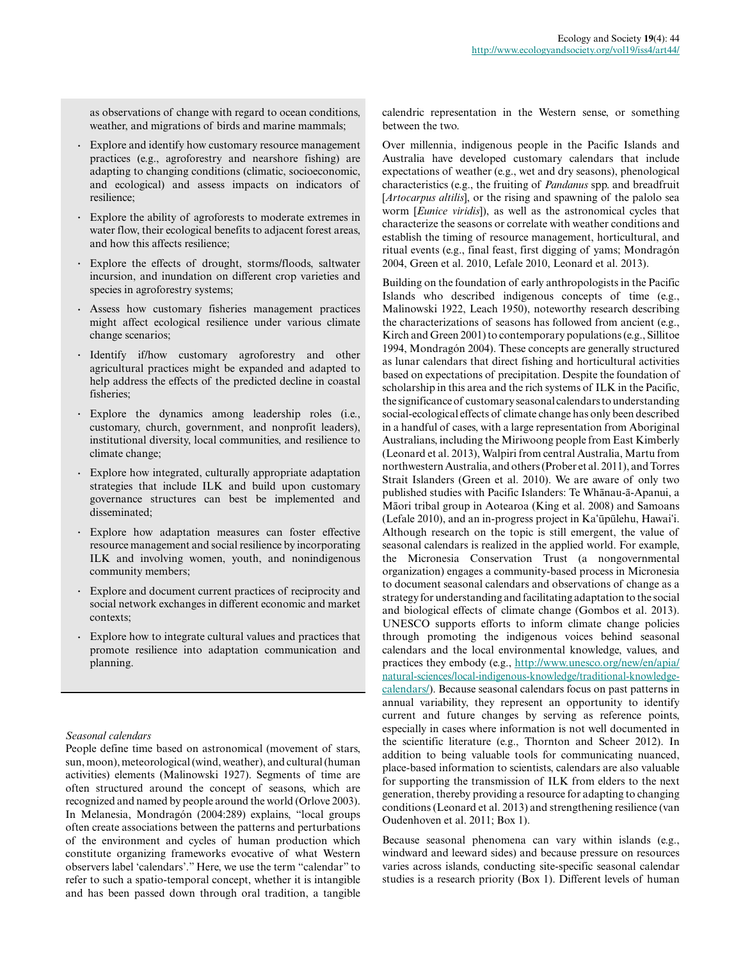as observations of change with regard to ocean conditions, weather, and migrations of birds and marine mammals;

- **.** Explore and identify how customary resource management practices (e.g., agroforestry and nearshore fishing) are adapting to changing conditions (climatic, socioeconomic, and ecological) and assess impacts on indicators of resilience;
- **.** Explore the ability of agroforests to moderate extremes in water flow, their ecological benefits to adjacent forest areas, and how this affects resilience;
- **.** Explore the effects of drought, storms/floods, saltwater incursion, and inundation on different crop varieties and species in agroforestry systems;
- **.** Assess how customary fisheries management practices might affect ecological resilience under various climate change scenarios;
- **.** Identify if/how customary agroforestry and other agricultural practices might be expanded and adapted to help address the effects of the predicted decline in coastal fisheries;
- **.** Explore the dynamics among leadership roles (i.e., customary, church, government, and nonprofit leaders), institutional diversity, local communities, and resilience to climate change;
- **.** Explore how integrated, culturally appropriate adaptation strategies that include ILK and build upon customary governance structures can best be implemented and disseminated;
- **.** Explore how adaptation measures can foster effective resource management and social resilience by incorporating ILK and involving women, youth, and nonindigenous community members;
- **.** Explore and document current practices of reciprocity and social network exchanges in different economic and market contexts;
- **.** Explore how to integrate cultural values and practices that promote resilience into adaptation communication and planning.

## *Seasonal calendars*

People define time based on astronomical (movement of stars, sun, moon), meteorological (wind, weather), and cultural (human activities) elements (Malinowski 1927). Segments of time are often structured around the concept of seasons, which are recognized and named by people around the world (Orlove 2003). In Melanesia, Mondragón (2004:289) explains, "local groups often create associations between the patterns and perturbations of the environment and cycles of human production which constitute organizing frameworks evocative of what Western observers label 'calendars'." Here, we use the term "calendar" to refer to such a spatio-temporal concept, whether it is intangible and has been passed down through oral tradition, a tangible calendric representation in the Western sense, or something between the two.

Over millennia, indigenous people in the Pacific Islands and Australia have developed customary calendars that include expectations of weather (e.g., wet and dry seasons), phenological characteristics (e.g., the fruiting of *Pandanus* spp. and breadfruit [*Artocarpus altilis*], or the rising and spawning of the palolo sea worm [*Eunice viridis*]), as well as the astronomical cycles that characterize the seasons or correlate with weather conditions and establish the timing of resource management, horticultural, and ritual events (e.g., final feast, first digging of yams; Mondragón 2004, Green et al. 2010, Lefale 2010, Leonard et al. 2013).

Building on the foundation of early anthropologists in the Pacific Islands who described indigenous concepts of time (e.g., Malinowski 1922, Leach 1950), noteworthy research describing the characterizations of seasons has followed from ancient (e.g., Kirch and Green 2001) to contemporary populations (e.g., Sillitoe 1994, Mondragón 2004). These concepts are generally structured as lunar calendars that direct fishing and horticultural activities based on expectations of precipitation. Despite the foundation of scholarship in this area and the rich systems of ILK in the Pacific, the significance of customary seasonal calendars to understanding social-ecological effects of climate change has only been described in a handful of cases, with a large representation from Aboriginal Australians, including the Miriwoong people from East Kimberly (Leonard et al. 2013), Walpiri from central Australia, Martu from northwestern Australia, and others (Prober et al. 2011), and Torres Strait Islanders (Green et al. 2010). We are aware of only two published studies with Pacific Islanders: Te Whānau-ā-Apanui, a Māori tribal group in Aotearoa (King et al. 2008) and Samoans (Lefale 2010), and an in-progress project in Kaʻūpūlehu, Hawaiʻi. Although research on the topic is still emergent, the value of seasonal calendars is realized in the applied world. For example, the Micronesia Conservation Trust (a nongovernmental organization) engages a community-based process in Micronesia to document seasonal calendars and observations of change as a strategy for understanding and facilitating adaptation to the social and biological effects of climate change (Gombos et al. 2013). UNESCO supports efforts to inform climate change policies through promoting the indigenous voices behind seasonal calendars and the local environmental knowledge, values, and practices they embody (e.g., [http://www.unesco.org/new/en/apia/](http://www.unesco.org/new/en/apia/natural-sciences/local-indigenous-knowledge/traditional-knowledge-calendars/) [natural-sciences/local-indigenous-knowledge/traditional-knowledge](http://www.unesco.org/new/en/apia/natural-sciences/local-indigenous-knowledge/traditional-knowledge-calendars/)[calendars/\)](http://www.unesco.org/new/en/apia/natural-sciences/local-indigenous-knowledge/traditional-knowledge-calendars/). Because seasonal calendars focus on past patterns in annual variability, they represent an opportunity to identify current and future changes by serving as reference points, especially in cases where information is not well documented in the scientific literature (e.g., Thornton and Scheer 2012). In addition to being valuable tools for communicating nuanced, place-based information to scientists, calendars are also valuable for supporting the transmission of ILK from elders to the next generation, thereby providing a resource for adapting to changing conditions (Leonard et al. 2013) and strengthening resilience (van Oudenhoven et al. 2011; Box 1).

Because seasonal phenomena can vary within islands (e.g., windward and leeward sides) and because pressure on resources varies across islands, conducting site-specific seasonal calendar studies is a research priority (Box 1). Different levels of human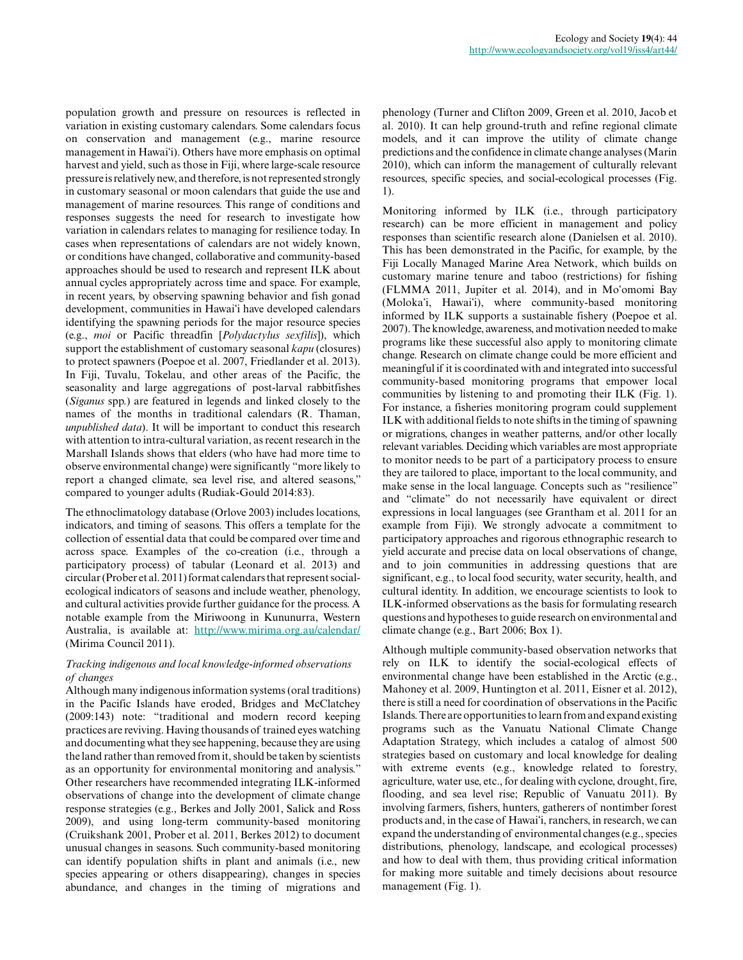population growth and pressure on resources is reflected in variation in existing customary calendars. Some calendars focus on conservation and management (e.g., marine resource management in Hawaiʻi). Others have more emphasis on optimal harvest and yield, such as those in Fiji, where large-scale resource pressure is relatively new, and therefore, is not represented strongly in customary seasonal or moon calendars that guide the use and management of marine resources. This range of conditions and responses suggests the need for research to investigate how variation in calendars relates to managing for resilience today. In cases when representations of calendars are not widely known, or conditions have changed, collaborative and community-based approaches should be used to research and represent ILK about annual cycles appropriately across time and space. For example, in recent years, by observing spawning behavior and fish gonad development, communities in Hawaiʻi have developed calendars identifying the spawning periods for the major resource species (e.g., *moi* or Pacific threadfin [*Polydactylus sexfilis*]), which support the establishment of customary seasonal *kapu* (closures) to protect spawners (Poepoe et al. 2007, Friedlander et al. 2013). In Fiji, Tuvalu, Tokelau, and other areas of the Pacific, the seasonality and large aggregations of post-larval rabbitfishes (*Siganus* spp.) are featured in legends and linked closely to the names of the months in traditional calendars (R. Thaman, *unpublished data*). It will be important to conduct this research with attention to intra-cultural variation, as recent research in the Marshall Islands shows that elders (who have had more time to observe environmental change) were significantly "more likely to report a changed climate, sea level rise, and altered seasons," compared to younger adults (Rudiak-Gould 2014:83).

The ethnoclimatology database (Orlove 2003) includes locations, indicators, and timing of seasons. This offers a template for the collection of essential data that could be compared over time and across space. Examples of the co-creation (i.e., through a participatory process) of tabular (Leonard et al. 2013) and circular (Prober et al. 2011) format calendars that represent socialecological indicators of seasons and include weather, phenology, and cultural activities provide further guidance for the process. A notable example from the Miriwoong in Kununurra, Western Australia, is available at: <http://www.mirima.org.au/calendar/> (Mirima Council 2011).

## *Tracking indigenous and local knowledge-informed observations of changes*

Although many indigenous information systems (oral traditions) in the Pacific Islands have eroded, Bridges and McClatchey (2009:143) note: "traditional and modern record keeping practices are reviving. Having thousands of trained eyes watching and documenting what they see happening, because they are using the land rather than removed from it, should be taken by scientists as an opportunity for environmental monitoring and analysis." Other researchers have recommended integrating ILK-informed observations of change into the development of climate change response strategies (e.g., Berkes and Jolly 2001, Salick and Ross 2009), and using long-term community-based monitoring (Cruikshank 2001, Prober et al. 2011, Berkes 2012) to document unusual changes in seasons. Such community-based monitoring can identify population shifts in plant and animals (i.e., new species appearing or others disappearing), changes in species abundance, and changes in the timing of migrations and

phenology (Turner and Clifton 2009, Green et al. 2010, Jacob et al. 2010). It can help ground-truth and refine regional climate models, and it can improve the utility of climate change predictions and the confidence in climate change analyses (Marin 2010), which can inform the management of culturally relevant resources, specific species, and social-ecological processes (Fig. 1).

Monitoring informed by ILK (i.e., through participatory research) can be more efficient in management and policy responses than scientific research alone (Danielsen et al. 2010). This has been demonstrated in the Pacific, for example, by the Fiji Locally Managed Marine Area Network, which builds on customary marine tenure and taboo (restrictions) for fishing (FLMMA 2011, Jupiter et al. 2014), and in Moʻomomi Bay (Molokaʻi, Hawaiʻi), where community-based monitoring informed by ILK supports a sustainable fishery (Poepoe et al. 2007). The knowledge, awareness, and motivation needed to make programs like these successful also apply to monitoring climate change. Research on climate change could be more efficient and meaningful if it is coordinated with and integrated into successful community-based monitoring programs that empower local communities by listening to and promoting their ILK (Fig. 1). For instance, a fisheries monitoring program could supplement ILK with additional fields to note shifts in the timing of spawning or migrations, changes in weather patterns, and/or other locally relevant variables. Deciding which variables are most appropriate to monitor needs to be part of a participatory process to ensure they are tailored to place, important to the local community, and make sense in the local language. Concepts such as "resilience" and "climate" do not necessarily have equivalent or direct expressions in local languages (see Grantham et al. 2011 for an example from Fiji). We strongly advocate a commitment to participatory approaches and rigorous ethnographic research to yield accurate and precise data on local observations of change, and to join communities in addressing questions that are significant, e.g., to local food security, water security, health, and cultural identity. In addition, we encourage scientists to look to ILK-informed observations as the basis for formulating research questions and hypotheses to guide research on environmental and climate change (e.g., Bart 2006; Box 1).

Although multiple community-based observation networks that rely on ILK to identify the social-ecological effects of environmental change have been established in the Arctic (e.g., Mahoney et al. 2009, Huntington et al. 2011, Eisner et al. 2012), there is still a need for coordination of observations in the Pacific Islands. There are opportunities to learn from and expand existing programs such as the Vanuatu National Climate Change Adaptation Strategy, which includes a catalog of almost 500 strategies based on customary and local knowledge for dealing with extreme events (e.g., knowledge related to forestry, agriculture, water use, etc., for dealing with cyclone, drought, fire, flooding, and sea level rise; Republic of Vanuatu 2011). By involving farmers, fishers, hunters, gatherers of nontimber forest products and, in the case of Hawaiʻi, ranchers, in research, we can expand the understanding of environmental changes (e.g., species distributions, phenology, landscape, and ecological processes) and how to deal with them, thus providing critical information for making more suitable and timely decisions about resource management (Fig. 1).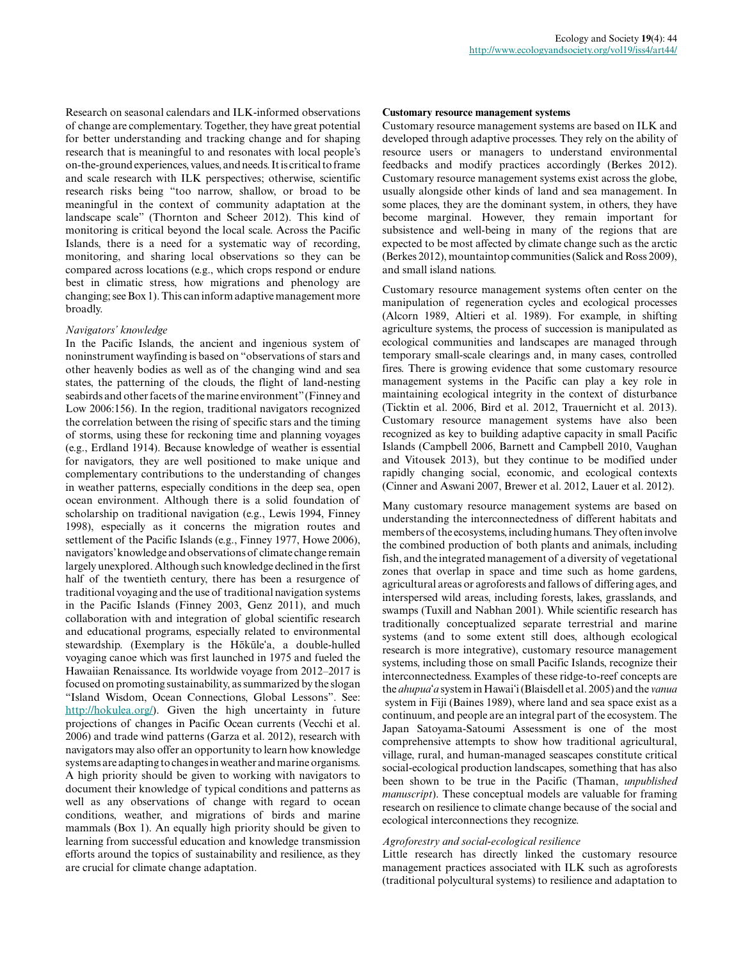Research on seasonal calendars and ILK-informed observations of change are complementary. Together, they have great potential for better understanding and tracking change and for shaping research that is meaningful to and resonates with local people's on-the-ground experiences, values, and needs. It is critical to frame and scale research with ILK perspectives; otherwise, scientific research risks being "too narrow, shallow, or broad to be meaningful in the context of community adaptation at the landscape scale" (Thornton and Scheer 2012). This kind of monitoring is critical beyond the local scale. Across the Pacific Islands, there is a need for a systematic way of recording, monitoring, and sharing local observations so they can be compared across locations (e.g., which crops respond or endure best in climatic stress, how migrations and phenology are changing; see Box 1). This can inform adaptive management more broadly.

# *Navigators' knowledge*

In the Pacific Islands, the ancient and ingenious system of noninstrument wayfinding is based on "observations of stars and other heavenly bodies as well as of the changing wind and sea states, the patterning of the clouds, the flight of land-nesting seabirds and other facets of the marine environment" (Finney and Low 2006:156). In the region, traditional navigators recognized the correlation between the rising of specific stars and the timing of storms, using these for reckoning time and planning voyages (e.g., Erdland 1914). Because knowledge of weather is essential for navigators, they are well positioned to make unique and complementary contributions to the understanding of changes in weather patterns, especially conditions in the deep sea, open ocean environment. Although there is a solid foundation of scholarship on traditional navigation (e.g., Lewis 1994, Finney 1998), especially as it concerns the migration routes and settlement of the Pacific Islands (e.g., Finney 1977, Howe 2006), navigators' knowledge and observations of climate change remain largely unexplored. Although such knowledge declined in the first half of the twentieth century, there has been a resurgence of traditional voyaging and the use of traditional navigation systems in the Pacific Islands (Finney 2003, Genz 2011), and much collaboration with and integration of global scientific research and educational programs, especially related to environmental stewardship. (Exemplary is the Hōkūleʻa, a double-hulled voyaging canoe which was first launched in 1975 and fueled the Hawaiian Renaissance. Its worldwide voyage from 2012–2017 is focused on promoting sustainability, as summarized by the slogan "Island Wisdom, Ocean Connections, Global Lessons". See: [http://hokulea.org/\)](http://hokulea.org/). Given the high uncertainty in future projections of changes in Pacific Ocean currents (Vecchi et al. 2006) and trade wind patterns (Garza et al. 2012), research with navigators may also offer an opportunity to learn how knowledge systems are adapting to changes in weather and marine organisms. A high priority should be given to working with navigators to document their knowledge of typical conditions and patterns as well as any observations of change with regard to ocean conditions, weather, and migrations of birds and marine mammals (Box 1). An equally high priority should be given to learning from successful education and knowledge transmission efforts around the topics of sustainability and resilience, as they are crucial for climate change adaptation.

#### **Customary resource management systems**

Customary resource management systems are based on ILK and developed through adaptive processes. They rely on the ability of resource users or managers to understand environmental feedbacks and modify practices accordingly (Berkes 2012). Customary resource management systems exist across the globe, usually alongside other kinds of land and sea management. In some places, they are the dominant system, in others, they have become marginal. However, they remain important for subsistence and well-being in many of the regions that are expected to be most affected by climate change such as the arctic (Berkes 2012), mountaintop communities (Salick and Ross 2009), and small island nations.

Customary resource management systems often center on the manipulation of regeneration cycles and ecological processes (Alcorn 1989, Altieri et al. 1989). For example, in shifting agriculture systems, the process of succession is manipulated as ecological communities and landscapes are managed through temporary small-scale clearings and, in many cases, controlled fires. There is growing evidence that some customary resource management systems in the Pacific can play a key role in maintaining ecological integrity in the context of disturbance (Ticktin et al. 2006, Bird et al. 2012, Trauernicht et al. 2013). Customary resource management systems have also been recognized as key to building adaptive capacity in small Pacific Islands (Campbell 2006, Barnett and Campbell 2010, Vaughan and Vitousek 2013), but they continue to be modified under rapidly changing social, economic, and ecological contexts (Cinner and Aswani 2007, Brewer et al. 2012, Lauer et al. 2012).

Many customary resource management systems are based on understanding the interconnectedness of different habitats and members of the ecosystems, including humans. They often involve the combined production of both plants and animals, including fish, and the integrated management of a diversity of vegetational zones that overlap in space and time such as home gardens, agricultural areas or agroforests and fallows of differing ages, and interspersed wild areas, including forests, lakes, grasslands, and swamps (Tuxill and Nabhan 2001). While scientific research has traditionally conceptualized separate terrestrial and marine systems (and to some extent still does, although ecological research is more integrative), customary resource management systems, including those on small Pacific Islands, recognize their interconnectedness. Examples of these ridge-to-reef concepts are the *ahupua*ʻ*a* system in Hawaiʻi (Blaisdell et al. 2005) and the *vanua* system in Fiji (Baines 1989), where land and sea space exist as a continuum, and people are an integral part of the ecosystem. The Japan Satoyama-Satoumi Assessment is one of the most comprehensive attempts to show how traditional agricultural, village, rural, and human-managed seascapes constitute critical social-ecological production landscapes, something that has also been shown to be true in the Pacific (Thaman, *unpublished manuscript*). These conceptual models are valuable for framing research on resilience to climate change because of the social and ecological interconnections they recognize.

## *Agroforestry and social-ecological resilience*

Little research has directly linked the customary resource management practices associated with ILK such as agroforests (traditional polycultural systems) to resilience and adaptation to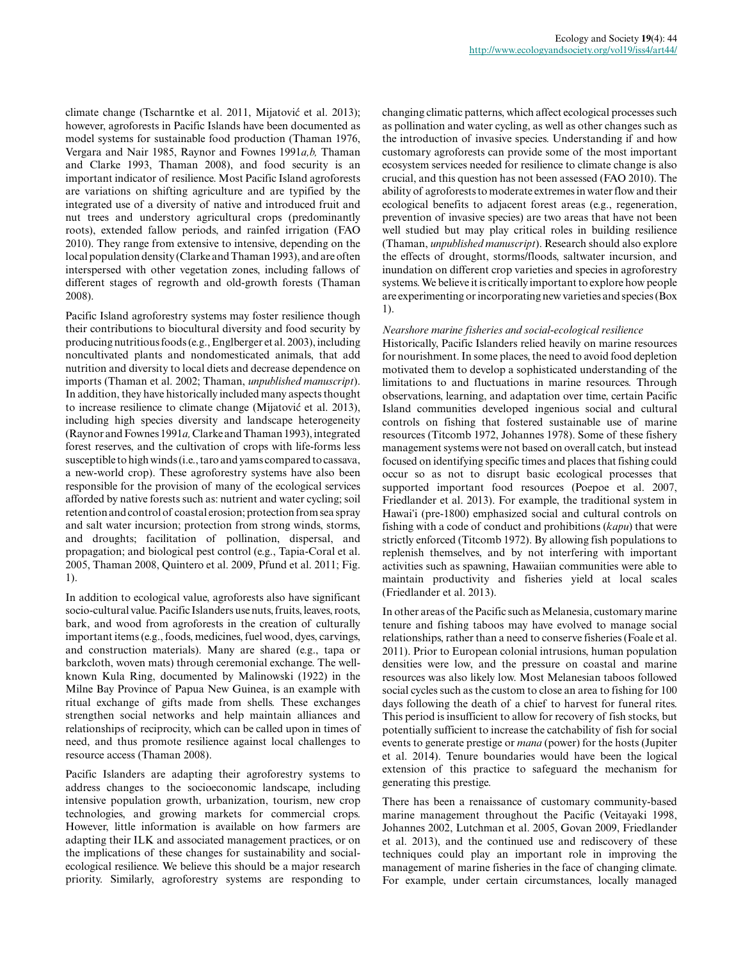climate change (Tscharntke et al. 2011, Mijatović et al. 2013); however, agroforests in Pacific Islands have been documented as model systems for sustainable food production (Thaman 1976, Vergara and Nair 1985, Raynor and Fownes 1991*a,b,* Thaman and Clarke 1993, Thaman 2008), and food security is an important indicator of resilience. Most Pacific Island agroforests are variations on shifting agriculture and are typified by the integrated use of a diversity of native and introduced fruit and nut trees and understory agricultural crops (predominantly roots), extended fallow periods, and rainfed irrigation (FAO 2010). They range from extensive to intensive, depending on the local population density (Clarke and Thaman 1993), and are often interspersed with other vegetation zones, including fallows of different stages of regrowth and old-growth forests (Thaman 2008).

Pacific Island agroforestry systems may foster resilience though their contributions to biocultural diversity and food security by producing nutritious foods (e.g., Englberger et al. 2003), including noncultivated plants and nondomesticated animals, that add nutrition and diversity to local diets and decrease dependence on imports (Thaman et al. 2002; Thaman, *unpublished manuscript*). In addition, they have historically included many aspects thought to increase resilience to climate change (Mijatović et al. 2013), including high species diversity and landscape heterogeneity (Raynor and Fownes 1991*a,* Clarke and Thaman 1993), integrated forest reserves, and the cultivation of crops with life-forms less susceptible to high winds (i.e., taro and yams compared to cassava, a new-world crop). These agroforestry systems have also been responsible for the provision of many of the ecological services afforded by native forests such as: nutrient and water cycling; soil retention and control of coastal erosion; protection from sea spray and salt water incursion; protection from strong winds, storms, and droughts; facilitation of pollination, dispersal, and propagation; and biological pest control (e.g., Tapia-Coral et al. 2005, Thaman 2008, Quintero et al. 2009, Pfund et al. 2011; Fig. 1).

In addition to ecological value, agroforests also have significant socio-cultural value. Pacific Islanders use nuts, fruits, leaves, roots, bark, and wood from agroforests in the creation of culturally important items (e.g., foods, medicines, fuel wood, dyes, carvings, and construction materials). Many are shared (e.g., tapa or barkcloth, woven mats) through ceremonial exchange. The wellknown Kula Ring, documented by Malinowski (1922) in the Milne Bay Province of Papua New Guinea, is an example with ritual exchange of gifts made from shells. These exchanges strengthen social networks and help maintain alliances and relationships of reciprocity, which can be called upon in times of need, and thus promote resilience against local challenges to resource access (Thaman 2008).

Pacific Islanders are adapting their agroforestry systems to address changes to the socioeconomic landscape, including intensive population growth, urbanization, tourism, new crop technologies, and growing markets for commercial crops. However, little information is available on how farmers are adapting their ILK and associated management practices, or on the implications of these changes for sustainability and socialecological resilience. We believe this should be a major research priority. Similarly, agroforestry systems are responding to

changing climatic patterns, which affect ecological processes such as pollination and water cycling, as well as other changes such as the introduction of invasive species. Understanding if and how customary agroforests can provide some of the most important ecosystem services needed for resilience to climate change is also crucial, and this question has not been assessed (FAO 2010). The ability of agroforests to moderate extremes in water flow and their ecological benefits to adjacent forest areas (e.g., regeneration, prevention of invasive species) are two areas that have not been well studied but may play critical roles in building resilience (Thaman, *unpublished manuscript*). Research should also explore the effects of drought, storms/floods, saltwater incursion, and inundation on different crop varieties and species in agroforestry systems. We believe it is critically important to explore how people are experimenting or incorporating new varieties and species (Box 1).

## *Nearshore marine fisheries and social-ecological resilience*

Historically, Pacific Islanders relied heavily on marine resources for nourishment. In some places, the need to avoid food depletion motivated them to develop a sophisticated understanding of the limitations to and fluctuations in marine resources. Through observations, learning, and adaptation over time, certain Pacific Island communities developed ingenious social and cultural controls on fishing that fostered sustainable use of marine resources (Titcomb 1972, Johannes 1978). Some of these fishery management systems were not based on overall catch, but instead focused on identifying specific times and places that fishing could occur so as not to disrupt basic ecological processes that supported important food resources (Poepoe et al. 2007, Friedlander et al. 2013). For example, the traditional system in Hawaiʻi (pre-1800) emphasized social and cultural controls on fishing with a code of conduct and prohibitions (*kapu*) that were strictly enforced (Titcomb 1972). By allowing fish populations to replenish themselves, and by not interfering with important activities such as spawning, Hawaiian communities were able to maintain productivity and fisheries yield at local scales (Friedlander et al. 2013).

In other areas of the Pacific such as Melanesia, customary marine tenure and fishing taboos may have evolved to manage social relationships, rather than a need to conserve fisheries (Foale et al. 2011). Prior to European colonial intrusions, human population densities were low, and the pressure on coastal and marine resources was also likely low. Most Melanesian taboos followed social cycles such as the custom to close an area to fishing for 100 days following the death of a chief to harvest for funeral rites. This period is insufficient to allow for recovery of fish stocks, but potentially sufficient to increase the catchability of fish for social events to generate prestige or *mana* (power) for the hosts (Jupiter et al. 2014). Tenure boundaries would have been the logical extension of this practice to safeguard the mechanism for generating this prestige.

There has been a renaissance of customary community-based marine management throughout the Pacific (Veitayaki 1998, Johannes 2002, Lutchman et al. 2005, Govan 2009, Friedlander et al. 2013), and the continued use and rediscovery of these techniques could play an important role in improving the management of marine fisheries in the face of changing climate. For example, under certain circumstances, locally managed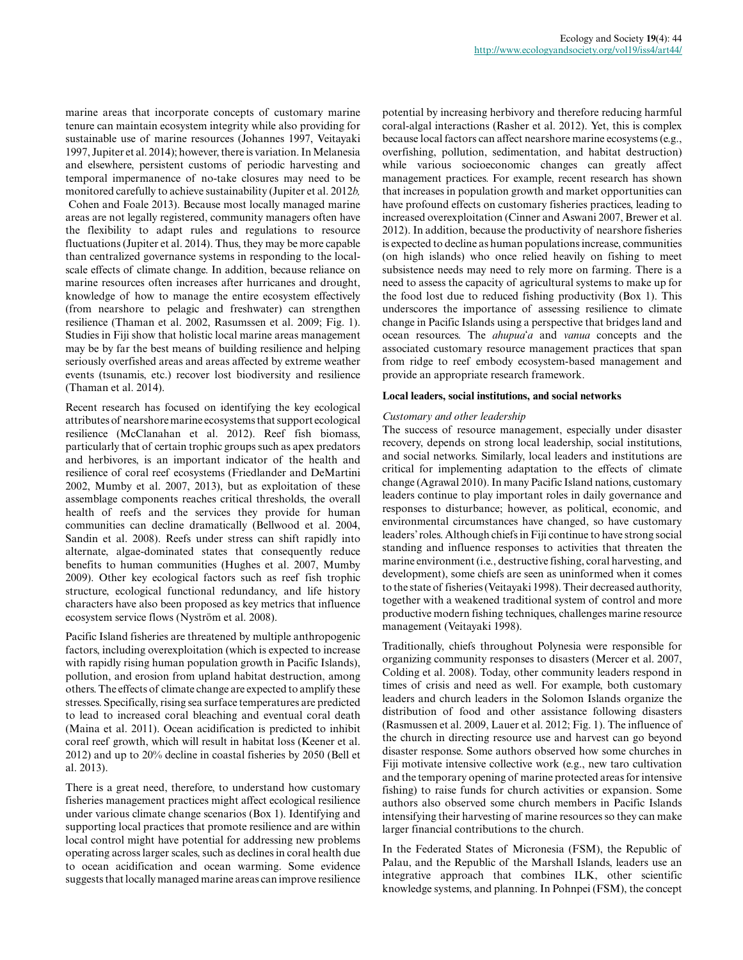marine areas that incorporate concepts of customary marine tenure can maintain ecosystem integrity while also providing for sustainable use of marine resources (Johannes 1997, Veitayaki 1997, Jupiter et al. 2014); however, there is variation. In Melanesia and elsewhere, persistent customs of periodic harvesting and temporal impermanence of no-take closures may need to be monitored carefully to achieve sustainability (Jupiter et al. 2012*b,* Cohen and Foale 2013). Because most locally managed marine areas are not legally registered, community managers often have the flexibility to adapt rules and regulations to resource fluctuations (Jupiter et al. 2014). Thus, they may be more capable than centralized governance systems in responding to the localscale effects of climate change. In addition, because reliance on marine resources often increases after hurricanes and drought, knowledge of how to manage the entire ecosystem effectively (from nearshore to pelagic and freshwater) can strengthen resilience (Thaman et al. 2002, Rasumssen et al. 2009; Fig. 1). Studies in Fiji show that holistic local marine areas management may be by far the best means of building resilience and helping seriously overfished areas and areas affected by extreme weather events (tsunamis, etc.) recover lost biodiversity and resilience (Thaman et al. 2014).

Recent research has focused on identifying the key ecological attributes of nearshore marine ecosystems that support ecological resilience (McClanahan et al. 2012). Reef fish biomass, particularly that of certain trophic groups such as apex predators and herbivores, is an important indicator of the health and resilience of coral reef ecosystems (Friedlander and DeMartini 2002, Mumby et al. 2007, 2013), but as exploitation of these assemblage components reaches critical thresholds, the overall health of reefs and the services they provide for human communities can decline dramatically (Bellwood et al. 2004, Sandin et al. 2008). Reefs under stress can shift rapidly into alternate, algae-dominated states that consequently reduce benefits to human communities (Hughes et al. 2007, Mumby 2009). Other key ecological factors such as reef fish trophic structure, ecological functional redundancy, and life history characters have also been proposed as key metrics that influence ecosystem service flows (Nyström et al. 2008).

Pacific Island fisheries are threatened by multiple anthropogenic factors, including overexploitation (which is expected to increase with rapidly rising human population growth in Pacific Islands), pollution, and erosion from upland habitat destruction, among others. The effects of climate change are expected to amplify these stresses. Specifically, rising sea surface temperatures are predicted to lead to increased coral bleaching and eventual coral death (Maina et al. 2011). Ocean acidification is predicted to inhibit coral reef growth, which will result in habitat loss (Keener et al. 2012) and up to 20% decline in coastal fisheries by 2050 (Bell et al. 2013).

There is a great need, therefore, to understand how customary fisheries management practices might affect ecological resilience under various climate change scenarios (Box 1). Identifying and supporting local practices that promote resilience and are within local control might have potential for addressing new problems operating across larger scales, such as declines in coral health due to ocean acidification and ocean warming. Some evidence suggests that locally managed marine areas can improve resilience potential by increasing herbivory and therefore reducing harmful coral-algal interactions (Rasher et al. 2012). Yet, this is complex because local factors can affect nearshore marine ecosystems (e.g., overfishing, pollution, sedimentation, and habitat destruction) while various socioeconomic changes can greatly affect management practices. For example, recent research has shown that increases in population growth and market opportunities can have profound effects on customary fisheries practices, leading to increased overexploitation (Cinner and Aswani 2007, Brewer et al. 2012). In addition, because the productivity of nearshore fisheries is expected to decline as human populations increase, communities (on high islands) who once relied heavily on fishing to meet subsistence needs may need to rely more on farming. There is a need to assess the capacity of agricultural systems to make up for the food lost due to reduced fishing productivity (Box 1). This underscores the importance of assessing resilience to climate change in Pacific Islands using a perspective that bridges land and ocean resources. The *ahupua*ʻ*a* and *vanua* concepts and the associated customary resource management practices that span from ridge to reef embody ecosystem-based management and provide an appropriate research framework.

## **Local leaders, social institutions, and social networks**

## *Customary and other leadership*

The success of resource management, especially under disaster recovery, depends on strong local leadership, social institutions, and social networks. Similarly, local leaders and institutions are critical for implementing adaptation to the effects of climate change (Agrawal 2010). In many Pacific Island nations, customary leaders continue to play important roles in daily governance and responses to disturbance; however, as political, economic, and environmental circumstances have changed, so have customary leaders' roles. Although chiefs in Fiji continue to have strong social standing and influence responses to activities that threaten the marine environment (i.e., destructive fishing, coral harvesting, and development), some chiefs are seen as uninformed when it comes to the state of fisheries (Veitayaki 1998). Their decreased authority, together with a weakened traditional system of control and more productive modern fishing techniques, challenges marine resource management (Veitayaki 1998).

Traditionally, chiefs throughout Polynesia were responsible for organizing community responses to disasters (Mercer et al. 2007, Colding et al. 2008). Today, other community leaders respond in times of crisis and need as well. For example, both customary leaders and church leaders in the Solomon Islands organize the distribution of food and other assistance following disasters (Rasmussen et al. 2009, Lauer et al. 2012; Fig. 1). The influence of the church in directing resource use and harvest can go beyond disaster response. Some authors observed how some churches in Fiji motivate intensive collective work (e.g., new taro cultivation and the temporary opening of marine protected areas for intensive fishing) to raise funds for church activities or expansion. Some authors also observed some church members in Pacific Islands intensifying their harvesting of marine resources so they can make larger financial contributions to the church.

In the Federated States of Micronesia (FSM), the Republic of Palau, and the Republic of the Marshall Islands, leaders use an integrative approach that combines ILK, other scientific knowledge systems, and planning. In Pohnpei (FSM), the concept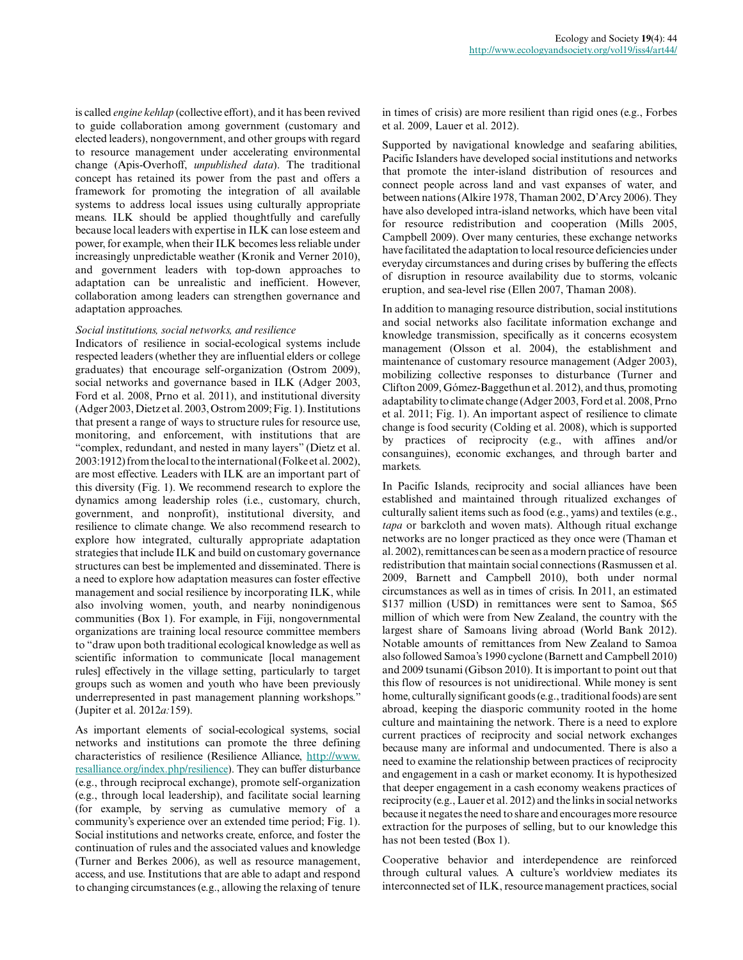is called *engine kehlap* (collective effort), and it has been revived to guide collaboration among government (customary and elected leaders), nongovernment, and other groups with regard to resource management under accelerating environmental change (Apis-Overhoff, *unpublished data*). The traditional concept has retained its power from the past and offers a framework for promoting the integration of all available systems to address local issues using culturally appropriate means. ILK should be applied thoughtfully and carefully because local leaders with expertise in ILK can lose esteem and power, for example, when their ILK becomes less reliable under increasingly unpredictable weather (Kronik and Verner 2010), and government leaders with top-down approaches to adaptation can be unrealistic and inefficient. However, collaboration among leaders can strengthen governance and adaptation approaches.

#### *Social institutions, social networks, and resilience*

Indicators of resilience in social-ecological systems include respected leaders (whether they are influential elders or college graduates) that encourage self-organization (Ostrom 2009), social networks and governance based in ILK (Adger 2003, Ford et al. 2008, Prno et al. 2011), and institutional diversity (Adger 2003, Dietz et al. 2003, Ostrom 2009; Fig. 1). Institutions that present a range of ways to structure rules for resource use, monitoring, and enforcement, with institutions that are "complex, redundant, and nested in many layers" (Dietz et al. 2003:1912) from the local to the international (Folke et al. 2002), are most effective. Leaders with ILK are an important part of this diversity (Fig. 1). We recommend research to explore the dynamics among leadership roles (i.e., customary, church, government, and nonprofit), institutional diversity, and resilience to climate change. We also recommend research to explore how integrated, culturally appropriate adaptation strategies that include ILK and build on customary governance structures can best be implemented and disseminated. There is a need to explore how adaptation measures can foster effective management and social resilience by incorporating ILK, while also involving women, youth, and nearby nonindigenous communities (Box 1). For example, in Fiji, nongovernmental organizations are training local resource committee members to "draw upon both traditional ecological knowledge as well as scientific information to communicate [local management rules] effectively in the village setting, particularly to target groups such as women and youth who have been previously underrepresented in past management planning workshops." (Jupiter et al. 2012*a:*159).

As important elements of social-ecological systems, social networks and institutions can promote the three defining characteristics of resilience (Resilience Alliance, [http://www.](http://www.resalliance.org/index.php/resilience) [resalliance.org/index.php/resilience\)](http://www.resalliance.org/index.php/resilience). They can buffer disturbance (e.g., through reciprocal exchange), promote self-organization (e.g., through local leadership), and facilitate social learning (for example, by serving as cumulative memory of a community's experience over an extended time period; Fig. 1). Social institutions and networks create, enforce, and foster the continuation of rules and the associated values and knowledge (Turner and Berkes 2006), as well as resource management, access, and use. Institutions that are able to adapt and respond to changing circumstances (e.g., allowing the relaxing of tenure

in times of crisis) are more resilient than rigid ones (e.g., Forbes et al. 2009, Lauer et al. 2012).

Supported by navigational knowledge and seafaring abilities, Pacific Islanders have developed social institutions and networks that promote the inter-island distribution of resources and connect people across land and vast expanses of water, and between nations (Alkire 1978, Thaman 2002, D'Arcy 2006). They have also developed intra-island networks, which have been vital for resource redistribution and cooperation (Mills 2005, Campbell 2009). Over many centuries, these exchange networks have facilitated the adaptation to local resource deficiencies under everyday circumstances and during crises by buffering the effects of disruption in resource availability due to storms, volcanic eruption, and sea-level rise (Ellen 2007, Thaman 2008).

In addition to managing resource distribution, social institutions and social networks also facilitate information exchange and knowledge transmission, specifically as it concerns ecosystem management (Olsson et al. 2004), the establishment and maintenance of customary resource management (Adger 2003), mobilizing collective responses to disturbance (Turner and Clifton 2009, Gómez-Baggethun et al. 2012), and thus, promoting adaptability to climate change (Adger 2003, Ford et al. 2008, Prno et al. 2011; Fig. 1). An important aspect of resilience to climate change is food security (Colding et al. 2008), which is supported by practices of reciprocity (e.g., with affines and/or consanguines), economic exchanges, and through barter and markets.

In Pacific Islands, reciprocity and social alliances have been established and maintained through ritualized exchanges of culturally salient items such as food (e.g., yams) and textiles (e.g., *tapa* or barkcloth and woven mats). Although ritual exchange networks are no longer practiced as they once were (Thaman et al. 2002), remittances can be seen as a modern practice of resource redistribution that maintain social connections (Rasmussen et al. 2009, Barnett and Campbell 2010), both under normal circumstances as well as in times of crisis. In 2011, an estimated \$137 million (USD) in remittances were sent to Samoa, \$65 million of which were from New Zealand, the country with the largest share of Samoans living abroad (World Bank 2012). Notable amounts of remittances from New Zealand to Samoa also followed Samoa's 1990 cyclone (Barnett and Campbell 2010) and 2009 tsunami (Gibson 2010). It is important to point out that this flow of resources is not unidirectional. While money is sent home, culturally significant goods (e.g., traditional foods) are sent abroad, keeping the diasporic community rooted in the home culture and maintaining the network. There is a need to explore current practices of reciprocity and social network exchanges because many are informal and undocumented. There is also a need to examine the relationship between practices of reciprocity and engagement in a cash or market economy. It is hypothesized that deeper engagement in a cash economy weakens practices of reciprocity (e.g., Lauer et al. 2012) and the links in social networks because it negates the need to share and encourages more resource extraction for the purposes of selling, but to our knowledge this has not been tested (Box 1).

Cooperative behavior and interdependence are reinforced through cultural values. A culture's worldview mediates its interconnected set of ILK, resource management practices, social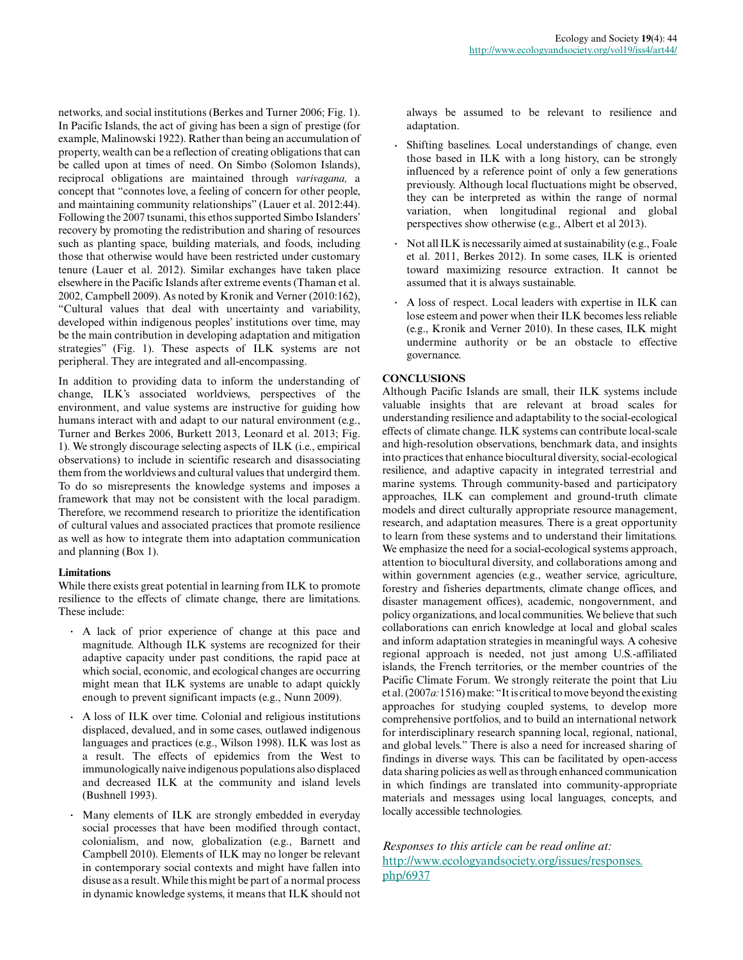networks, and social institutions (Berkes and Turner 2006; Fig. 1). In Pacific Islands, the act of giving has been a sign of prestige (for example, Malinowski 1922). Rather than being an accumulation of property, wealth can be a reflection of creating obligations that can be called upon at times of need. On Simbo (Solomon Islands), reciprocal obligations are maintained through *varivagana,* a concept that "connotes love, a feeling of concern for other people, and maintaining community relationships" (Lauer et al. 2012:44). Following the 2007 tsunami, this ethos supported Simbo Islanders' recovery by promoting the redistribution and sharing of resources such as planting space, building materials, and foods, including those that otherwise would have been restricted under customary tenure (Lauer et al. 2012). Similar exchanges have taken place elsewhere in the Pacific Islands after extreme events (Thaman et al. 2002, Campbell 2009). As noted by Kronik and Verner (2010:162), "Cultural values that deal with uncertainty and variability, developed within indigenous peoples' institutions over time, may be the main contribution in developing adaptation and mitigation strategies" (Fig. 1). These aspects of ILK systems are not peripheral. They are integrated and all-encompassing.

In addition to providing data to inform the understanding of change, ILK's associated worldviews, perspectives of the environment, and value systems are instructive for guiding how humans interact with and adapt to our natural environment (e.g., Turner and Berkes 2006, Burkett 2013, Leonard et al. 2013; Fig. 1). We strongly discourage selecting aspects of ILK (i.e., empirical observations) to include in scientific research and disassociating them from the worldviews and cultural values that undergird them. To do so misrepresents the knowledge systems and imposes a framework that may not be consistent with the local paradigm. Therefore, we recommend research to prioritize the identification of cultural values and associated practices that promote resilience as well as how to integrate them into adaptation communication and planning (Box 1).

## **Limitations**

While there exists great potential in learning from ILK to promote resilience to the effects of climate change, there are limitations. These include:

- **.** A lack of prior experience of change at this pace and magnitude. Although ILK systems are recognized for their adaptive capacity under past conditions, the rapid pace at which social, economic, and ecological changes are occurring might mean that ILK systems are unable to adapt quickly enough to prevent significant impacts (e.g., Nunn 2009).
- **.** A loss of ILK over time. Colonial and religious institutions displaced, devalued, and in some cases, outlawed indigenous languages and practices (e.g., Wilson 1998). ILK was lost as a result. The effects of epidemics from the West to immunologically naive indigenous populations also displaced and decreased ILK at the community and island levels (Bushnell 1993).
- **.** Many elements of ILK are strongly embedded in everyday social processes that have been modified through contact, colonialism, and now, globalization (e.g., Barnett and Campbell 2010). Elements of ILK may no longer be relevant in contemporary social contexts and might have fallen into disuse as a result. While this might be part of a normal process in dynamic knowledge systems, it means that ILK should not

always be assumed to be relevant to resilience and adaptation.

- **.** Shifting baselines. Local understandings of change, even those based in ILK with a long history, can be strongly influenced by a reference point of only a few generations previously. Although local fluctuations might be observed, they can be interpreted as within the range of normal variation, when longitudinal regional and global perspectives show otherwise (e.g., Albert et al 2013).
- **.** Not all ILK is necessarily aimed at sustainability (e.g., Foale et al. 2011, Berkes 2012). In some cases, ILK is oriented toward maximizing resource extraction. It cannot be assumed that it is always sustainable.
- **.** A loss of respect. Local leaders with expertise in ILK can lose esteem and power when their ILK becomes less reliable (e.g., Kronik and Verner 2010). In these cases, ILK might undermine authority or be an obstacle to effective governance.

# **CONCLUSIONS**

Although Pacific Islands are small, their ILK systems include valuable insights that are relevant at broad scales for understanding resilience and adaptability to the social-ecological effects of climate change. ILK systems can contribute local-scale and high-resolution observations, benchmark data, and insights into practices that enhance biocultural diversity, social-ecological resilience, and adaptive capacity in integrated terrestrial and marine systems. Through community-based and participatory approaches, ILK can complement and ground-truth climate models and direct culturally appropriate resource management, research, and adaptation measures. There is a great opportunity to learn from these systems and to understand their limitations. We emphasize the need for a social-ecological systems approach, attention to biocultural diversity, and collaborations among and within government agencies (e.g., weather service, agriculture, forestry and fisheries departments, climate change offices, and disaster management offices), academic, nongovernment, and policy organizations, and local communities. We believe that such collaborations can enrich knowledge at local and global scales and inform adaptation strategies in meaningful ways. A cohesive regional approach is needed, not just among U.S.-affiliated islands, the French territories, or the member countries of the Pacific Climate Forum. We strongly reiterate the point that Liu et al. (2007*a:*1516) make: "It is critical to move beyond the existing approaches for studying coupled systems, to develop more comprehensive portfolios, and to build an international network for interdisciplinary research spanning local, regional, national, and global levels." There is also a need for increased sharing of findings in diverse ways. This can be facilitated by open-access data sharing policies as well as through enhanced communication in which findings are translated into community-appropriate materials and messages using local languages, concepts, and locally accessible technologies.

*Responses to this article can be read online at:* [http://www.ecologyandsociety.org/issues/responses.](http://www.ecologyandsociety.org/issues/responses.php/6937) [php/6937](http://www.ecologyandsociety.org/issues/responses.php/6937)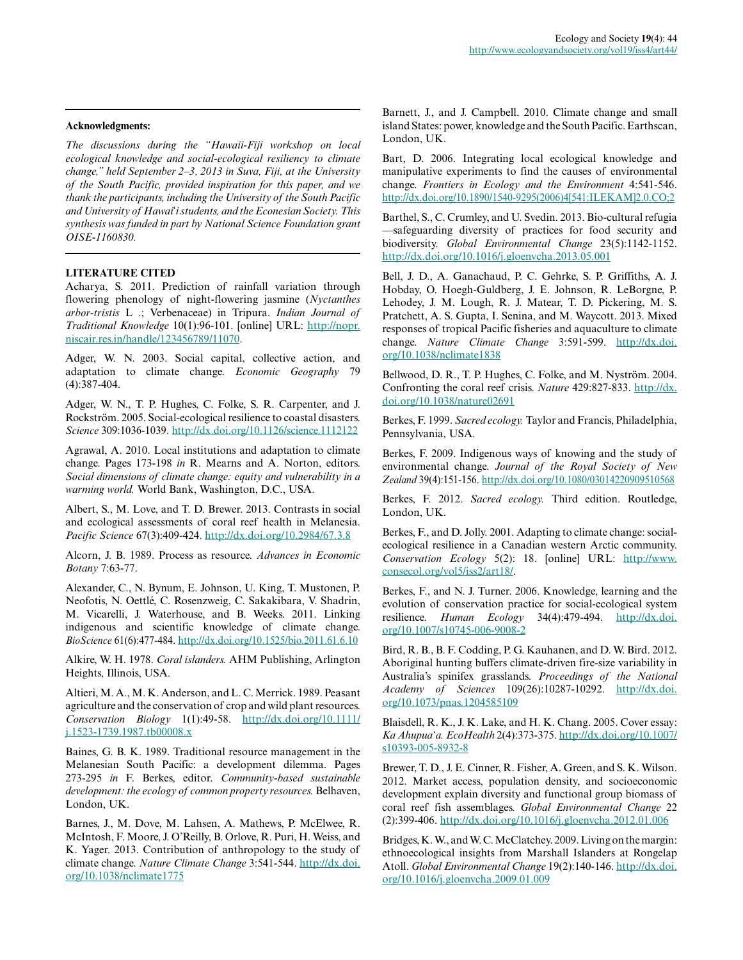#### **Acknowledgments:**

*The discussions during the "Hawaii-Fiji workshop on local ecological knowledge and social-ecological resiliency to climate change," held September 2–3, 2013 in Suva, Fiji, at the University of the South Pacific, provided inspiration for this paper, and we thank the participants, including the University of the South Pacific and University of Hawai*ʻ*i students, and the Econesian Society. This synthesis was funded in part by National Science Foundation grant OISE-1160830.*

## **LITERATURE CITED**

Acharya, S. 2011. Prediction of rainfall variation through flowering phenology of night-flowering jasmine (*Nyctanthes arbor-tristis* L .; Verbenaceae) in Tripura. *Indian Journal of Traditional Knowledge* 10(1):96-101. [online] URL: [http://nopr.](http://nopr.niscair.res.in/handle/123456789/11070) [niscair.res.in/handle/123456789/11070](http://nopr.niscair.res.in/handle/123456789/11070).

Adger, W. N. 2003. Social capital, collective action, and adaptation to climate change. *Economic Geography* 79 (4):387-404.

Adger, W. N., T. P. Hughes, C. Folke, S. R. Carpenter, and J. Rockström. 2005. Social-ecological resilience to coastal disasters. *Science* 309:1036-1039. [http://dx.doi.org/10.1126/science.1112122](http://dx.doi.org/10.1126%2Fscience.1112122)

Agrawal, A. 2010. Local institutions and adaptation to climate change. Pages 173-198 *in* R. Mearns and A. Norton, editors. *Social dimensions of climate change: equity and vulnerability in a warming world.* World Bank, Washington, D.C., USA.

Albert, S., M. Love, and T. D. Brewer. 2013. Contrasts in social and ecological assessments of coral reef health in Melanesia. *Pacific Science* 67(3):409-424. [http://dx.doi.org/10.2984/67.3.8](http://dx.doi.org/10.2984%2F67.3.8)

Alcorn, J. B. 1989. Process as resource. *Advances in Economic Botany* 7:63-77.

Alexander, C., N. Bynum, E. Johnson, U. King, T. Mustonen, P. Neofotis, N. Oettlé, C. Rosenzweig, C. Sakakibara, V. Shadrin, M. Vicarelli, J. Waterhouse, and B. Weeks. 2011. Linking indigenous and scientific knowledge of climate change. *BioScience* 61(6):477-484. [http://dx.doi.org/10.1525/bio.2011.61.6.10](http://dx.doi.org/10.1525%2Fbio.2011.61.6.10)

Alkire, W. H. 1978. *Coral islanders.* AHM Publishing, Arlington Heights, Illinois, USA.

Altieri, M. A., M. K. Anderson, and L. C. Merrick. 1989. Peasant agriculture and the conservation of crop and wild plant resources. *Conservation Biology* 1(1):49-58. [http://dx.doi.org/10.1111/](http://dx.doi.org/10.1111%2Fj.1523-1739.1987.tb00008.x) [j.1523-1739.1987.tb00008.x](http://dx.doi.org/10.1111%2Fj.1523-1739.1987.tb00008.x)

Baines, G. B. K. 1989. Traditional resource management in the Melanesian South Pacific: a development dilemma. Pages 273-295 *in* F. Berkes, editor. *Community-based sustainable development: the ecology of common property resources.* Belhaven, London, UK.

Barnes, J., M. Dove, M. Lahsen, A. Mathews, P. McElwee, R. McIntosh, F. Moore, J. O'Reilly, B. Orlove, R. Puri, H. Weiss, and K. Yager. 2013. Contribution of anthropology to the study of climate change. *Nature Climate Change* 3:541-544. [http://dx.doi.](http://dx.doi.org/10.1038/nclimate1775) [org/10.1038/nclimate1775](http://dx.doi.org/10.1038/nclimate1775)

Barnett, J., and J. Campbell. 2010. Climate change and small island States: power, knowledge and the South Pacific. Earthscan, London, UK.

Bart, D. 2006. Integrating local ecological knowledge and manipulative experiments to find the causes of environmental change. *Frontiers in Ecology and the Environment* 4:541-546. [http://dx.doi.org/10.1890/1540-9295\(2006\)4\[541:ILEKAM\]2.0.CO;2](http://dx.doi.org/10.1890%2F1540-9295%282006%294%5B541%3AILEKAM%5D2.0.CO%3B2)

Barthel, S., C. Crumley, and U. Svedin. 2013. Bio-cultural refugia —safeguarding diversity of practices for food security and biodiversity. *Global Environmental Change* 23(5):1142-1152. [http://dx.doi.org/10.1016/j.gloenvcha.2013.05.001](http://dx.doi.org/10.1016%2Fj.gloenvcha.2013.05.001)

Bell, J. D., A. Ganachaud, P. C. Gehrke, S. P. Griffiths, A. J. Hobday, O. Hoegh-Guldberg, J. E. Johnson, R. LeBorgne, P. Lehodey, J. M. Lough, R. J. Matear, T. D. Pickering, M. S. Pratchett, A. S. Gupta, I. Senina, and M. Waycott. 2013. Mixed responses of tropical Pacific fisheries and aquaculture to climate change. *Nature Climate Change* 3:591-599. [http://dx.doi.](http://dx.doi.org/10.1038%2Fnclimate1838) [org/10.1038/nclimate1838](http://dx.doi.org/10.1038%2Fnclimate1838)

Bellwood, D. R., T. P. Hughes, C. Folke, and M. Nyström. 2004. Confronting the coral reef crisis. *Nature* 429:827-833. [http://dx.](http://dx.doi.org/10.1038%2Fnature02691) [doi.org/10.1038/nature02691](http://dx.doi.org/10.1038%2Fnature02691)

Berkes, F. 1999. *Sacred ecology.* Taylor and Francis, Philadelphia, Pennsylvania, USA.

Berkes, F. 2009. Indigenous ways of knowing and the study of environmental change. *Journal of the Royal Society of New Zealand* 39(4):151-156. [http://dx.doi.org/10.1080/03014220909510568](http://dx.doi.org/10.1080%2F03014220909510568)

Berkes, F. 2012. *Sacred ecology.* Third edition. Routledge, London, UK.

Berkes, F., and D. Jolly. 2001. Adapting to climate change: socialecological resilience in a Canadian western Arctic community. *Conservation Ecology* 5(2): 18. [online] URL: [http://www.](http://www.consecol.org/vol5/iss2/art18/) [consecol.org/vol5/iss2/art18/.](http://www.consecol.org/vol5/iss2/art18/)

Berkes, F., and N. J. Turner. 2006. Knowledge, learning and the evolution of conservation practice for social-ecological system resilience. *Human Ecology* 34(4):479-494. [http://dx.doi.](http://dx.doi.org/10.1007%2Fs10745-006-9008-2) [org/10.1007/s10745-006-9008-2](http://dx.doi.org/10.1007%2Fs10745-006-9008-2)

Bird, R. B., B. F. Codding, P. G. Kauhanen, and D. W. Bird. 2012. Aboriginal hunting buffers climate-driven fire-size variability in Australia's spinifex grasslands. *Proceedings of the National Academy of Sciences* 109(26):10287-10292. [http://dx.doi.](http://dx.doi.org/10.1073%2Fpnas.1204585109) [org/10.1073/pnas.1204585109](http://dx.doi.org/10.1073%2Fpnas.1204585109)

Blaisdell, R. K., J. K. Lake, and H. K. Chang. 2005. Cover essay: *Ka Ahupua'a. EcoHealth* 2(4):373-375. [http://dx.doi.org/10.1007/](http://dx.doi.org/10.1007%2Fs10393-005-8932-8) [s10393-005-8932-8](http://dx.doi.org/10.1007%2Fs10393-005-8932-8)

Brewer, T. D., J. E. Cinner, R. Fisher, A. Green, and S. K. Wilson. 2012. Market access, population density, and socioeconomic development explain diversity and functional group biomass of coral reef fish assemblages. *Global Environmental Change* 22 (2):399-406. [http://dx.doi.org/10.1016/j.gloenvcha.2012.01.006](http://dx.doi.org/10.1016%2Fj.gloenvcha.2012.01.006)

Bridges, K. W., and W. C. McClatchey. 2009. Living on the margin: ethnoecological insights from Marshall Islanders at Rongelap Atoll. *Global Environmental Change* 19(2):140-146. [http://dx.doi.](http://dx.doi.org/10.1016%2Fj.gloenvcha.2009.01.009) [org/10.1016/j.gloenvcha.2009.01.009](http://dx.doi.org/10.1016%2Fj.gloenvcha.2009.01.009)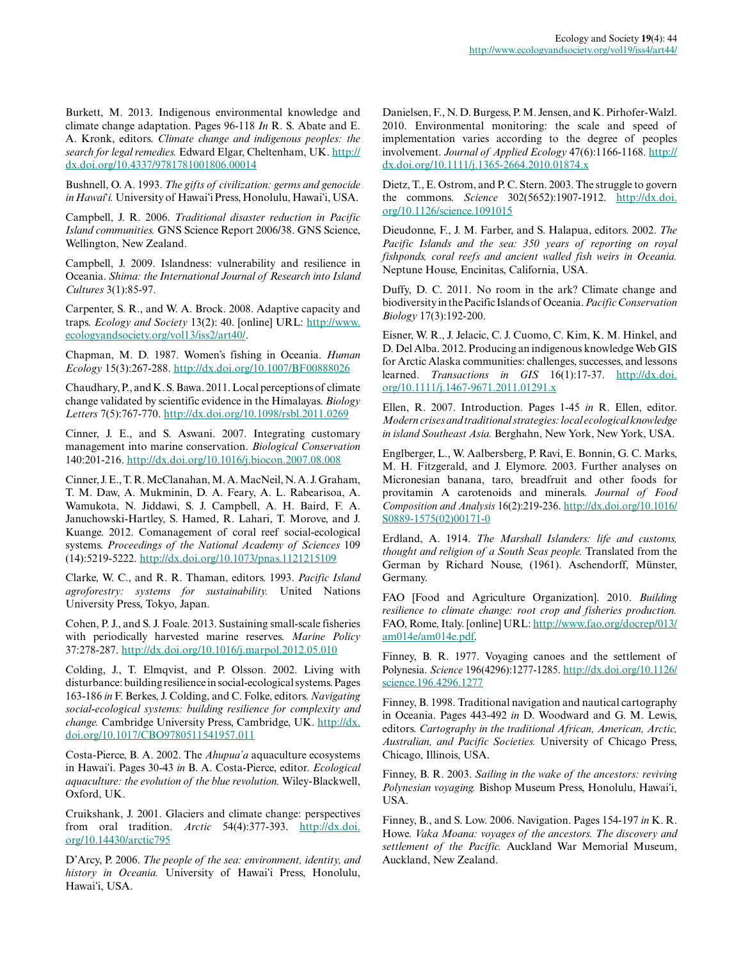Burkett, M. 2013. Indigenous environmental knowledge and climate change adaptation. Pages 96-118 *In* R. S. Abate and E. A. Kronk, editors. *Climate change and indigenous peoples: the search for legal remedies.* Edward Elgar, Cheltenham, UK. [http://](http://dx.doi.org/10.4337%2F9781781001806.00014) [dx.doi.org/10.4337/9781781001806.00014](http://dx.doi.org/10.4337%2F9781781001806.00014)

Bushnell, O. A. 1993. *The gifts of civilization: germs and genocide in Hawai*ʻ*i.* University of Hawaiʻi Press, Honolulu, Hawaiʻi, USA.

Campbell, J. R. 2006. *Traditional disaster reduction in Pacific Island communities.* GNS Science Report 2006/38. GNS Science, Wellington, New Zealand.

Campbell, J. 2009. Islandness: vulnerability and resilience in Oceania. *Shima: the International Journal of Research into Island Cultures* 3(1):85-97.

Carpenter, S. R., and W. A. Brock. 2008. Adaptive capacity and traps. *Ecology and Society* 13(2): 40. [online] URL: [http://www.](http://www.ecologyandsociety.org/vol13/iss2/art40/) [ecologyandsociety.org/vol13/iss2/art40/](http://www.ecologyandsociety.org/vol13/iss2/art40/).

Chapman, M. D. 1987. Women's fishing in Oceania. *Human Ecology* 15(3):267-288.<http://dx.doi.org/10.1007/BF00888026>

Chaudhary, P., and K. S. Bawa. 2011. Local perceptions of climate change validated by scientific evidence in the Himalayas. *Biology Letters* 7(5):767-770. [http://dx.doi.org/10.1098/rsbl.2011.0269](http://dx.doi.org/10.1098%2Frsbl.2011.0269)

Cinner, J. E., and S. Aswani. 2007. Integrating customary management into marine conservation. *Biological Conservation* 140:201-216. [http://dx.doi.org/10.1016/j.biocon.2007.08.008](http://dx.doi.org/10.1016%2Fj.biocon.2007.08.008)

Cinner, J. E., T. R. McClanahan, M. A. MacNeil, N. A. J. Graham, T. M. Daw, A. Mukminin, D. A. Feary, A. L. Rabearisoa, A. Wamukota, N. Jiddawi, S. J. Campbell, A. H. Baird, F. A. Januchowski-Hartley, S. Hamed, R. Lahari, T. Morove, and J. Kuange. 2012. Comanagement of coral reef social-ecological systems. *Proceedings of the National Academy of Sciences* 109 (14):5219-5222. [http://dx.doi.org/10.1073/pnas.1121215109](http://dx.doi.org/10.1073%2Fpnas.1121215109)

Clarke, W. C., and R. R. Thaman, editors. 1993. *Pacific Island agroforestry: systems for sustainability.* United Nations University Press, Tokyo, Japan.

Cohen, P. J., and S. J. Foale. 2013. Sustaining small-scale fisheries with periodically harvested marine reserves. *Marine Policy* 37:278-287. [http://dx.doi.org/10.1016/j.marpol.2012.05.010](http://dx.doi.org/10.1016%2Fj.marpol.2012.05.010)

Colding, J., T. Elmqvist, and P. Olsson. 2002. Living with disturbance: building resilience in social-ecological systems. Pages 163-186 *in* F. Berkes, J. Colding, and C. Folke, editors. *Navigating social-ecological systems: building resilience for complexity and change.* Cambridge University Press, Cambridge, UK. [http://dx.](http://dx.doi.org/10.1017%2FCBO9780511541957.011) [doi.org/10.1017/CBO9780511541957.011](http://dx.doi.org/10.1017%2FCBO9780511541957.011)

Costa-Pierce, B. A. 2002. The *Ahupua'a* aquaculture ecosystems in Hawaiʻi. Pages 30-43 *in* B. A. Costa-Pierce, editor. *Ecological aquaculture: the evolution of the blue revolution.* Wiley-Blackwell, Oxford, UK.

Cruikshank, J. 2001. Glaciers and climate change: perspectives from oral tradition. *Arctic* 54(4):377-393. [http://dx.doi.](http://dx.doi.org/10.14430%2Farctic795) [org/10.14430/arctic795](http://dx.doi.org/10.14430%2Farctic795)

D'Arcy, P. 2006. *The people of the sea: environment, identity, and history in Oceania.* University of Hawaiʻi Press, Honolulu, Hawaiʻi, USA.

Danielsen, F., N. D. Burgess, P. M. Jensen, and K. Pirhofer-Walzl. 2010. Environmental monitoring: the scale and speed of implementation varies according to the degree of peoples involvement. *Journal of Applied Ecology* 47(6):1166-1168. [http://](http://dx.doi.org/10.1111%2Fj.1365-2664.2010.01874.x) [dx.doi.org/10.1111/j.1365-2664.2010.01874.x](http://dx.doi.org/10.1111%2Fj.1365-2664.2010.01874.x)

Dietz, T., E. Ostrom, and P. C. Stern. 2003. The struggle to govern the commons. *Science* 302(5652):1907-1912. [http://dx.doi.](http://dx.doi.org/10.1126%2Fscience.1091015) [org/10.1126/science.1091015](http://dx.doi.org/10.1126%2Fscience.1091015)

Dieudonne, F., J. M. Farber, and S. Halapua, editors. 2002. *The Pacific Islands and the sea: 350 years of reporting on royal fishponds, coral reefs and ancient walled fish weirs in Oceania.* Neptune House, Encinitas, California, USA.

Duffy, D. C. 2011. No room in the ark? Climate change and biodiversity in the Pacific Islands of Oceania. *Pacific Conservation Biology* 17(3):192-200.

Eisner, W. R., J. Jelacic, C. J. Cuomo, C. Kim, K. M. Hinkel, and D. Del Alba. 2012. Producing an indigenous knowledge Web GIS for Arctic Alaska communities: challenges, successes, and lessons learned. *Transactions in GIS* 16(1):17-37. [http://dx.doi.](http://dx.doi.org/10.1111%2Fj.1467-9671.2011.01291.x) [org/10.1111/j.1467-9671.2011.01291.x](http://dx.doi.org/10.1111%2Fj.1467-9671.2011.01291.x)

Ellen, R. 2007. Introduction. Pages 1-45 *in* R. Ellen, editor. *Modern crises and traditional strategies: local ecological knowledge in island Southeast Asia.* Berghahn, New York, New York, USA.

Englberger, L., W. Aalbersberg, P. Ravi, E. Bonnin, G. C. Marks, M. H. Fitzgerald, and J. Elymore. 2003. Further analyses on Micronesian banana, taro, breadfruit and other foods for provitamin A carotenoids and minerals. *Journal of Food Composition and Analysis* 16(2):219-236. [http://dx.doi.org/10.1016/](http://dx.doi.org/10.1016%2FS0889-1575%2802%2900171-0) [S0889-1575\(02\)00171-0](http://dx.doi.org/10.1016%2FS0889-1575%2802%2900171-0)

Erdland, A. 1914. *The Marshall Islanders: life and customs, thought and religion of a South Seas people.* Translated from the German by Richard Nouse, (1961). Aschendorff, Münster, Germany.

FAO [Food and Agriculture Organization]. 2010. *Building resilience to climate change: root crop and fisheries production.* FAO, Rome, Italy. [online] URL: [http://www.fao.org/docrep/013/](http://www.fao.org/docrep/013/am014e/am014e.pdf) [am014e/am014e.pdf.](http://www.fao.org/docrep/013/am014e/am014e.pdf)

Finney, B. R. 1977. Voyaging canoes and the settlement of Polynesia. *Science* 196(4296):1277-1285. [http://dx.doi.org/10.1126/](http://dx.doi.org/10.1126%2Fscience.196.4296.1277) [science.196.4296.1277](http://dx.doi.org/10.1126%2Fscience.196.4296.1277)

Finney, B. 1998. Traditional navigation and nautical cartography in Oceania. Pages 443-492 *in* D. Woodward and G. M. Lewis, editors. *Cartography in the traditional African, American, Arctic, Australian, and Pacific Societies.* University of Chicago Press, Chicago, Illinois, USA.

Finney, B. R. 2003. *Sailing in the wake of the ancestors: reviving Polynesian voyaging.* Bishop Museum Press, Honolulu, Hawaiʻi, USA.

Finney, B., and S. Low. 2006. Navigation. Pages 154-197 *in* K. R. Howe. *Vaka Moana: voyages of the ancestors. The discovery and settlement of the Pacific.* Auckland War Memorial Museum, Auckland, New Zealand.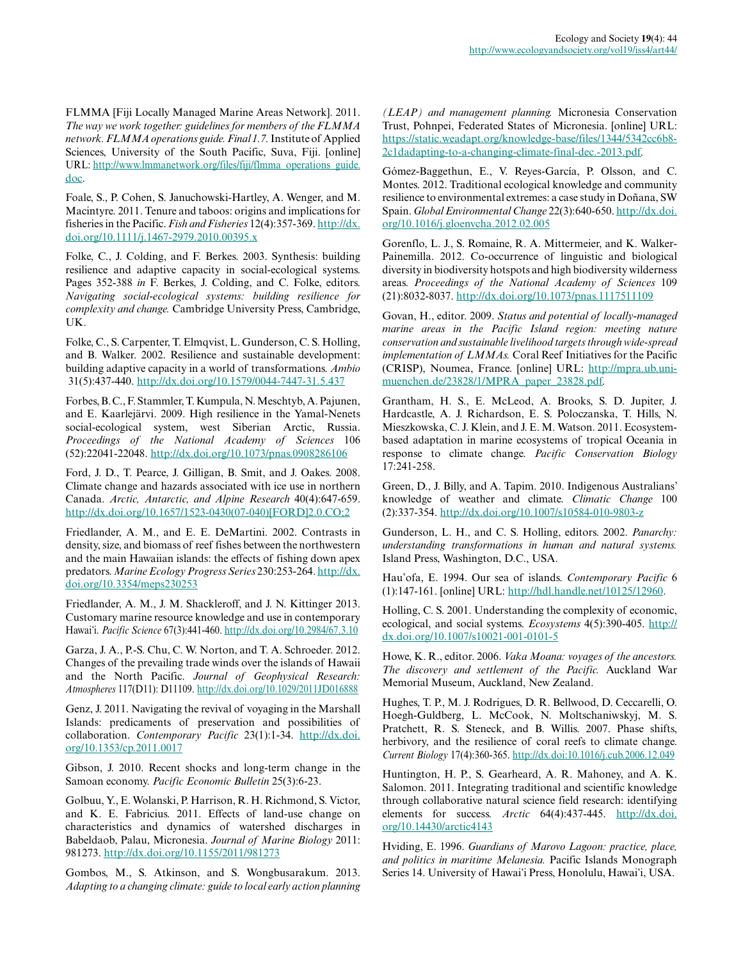FLMMA [Fiji Locally Managed Marine Areas Network]. 2011. *The way we work together: guidelines for members of the FLMMA network. FLMMA operations guide. Final 1.7.* Institute of Applied Sciences, University of the South Pacific, Suva, Fiji. [online] URL: [http://www.lmmanetwork.org/files/fiji/flmma\\_operations\\_guide.](http://www.lmmanetwork.org/files/fiji/flmma_operations_guide.doc) [doc.](http://www.lmmanetwork.org/files/fiji/flmma_operations_guide.doc)

Foale, S., P. Cohen, S. Januchowski-Hartley, A. Wenger, and M. Macintyre. 2011. Tenure and taboos: origins and implications for fisheries in the Pacific. *Fish and Fisheries* 12(4):357-369. [http://dx.](http://dx.doi.org/10.1111%2Fj.1467-2979.2010.00395.x) [doi.org/10.1111/j.1467-2979.2010.00395.x](http://dx.doi.org/10.1111%2Fj.1467-2979.2010.00395.x)

Folke, C., J. Colding, and F. Berkes. 2003. Synthesis: building resilience and adaptive capacity in social-ecological systems. Pages 352-388 *in* F. Berkes, J. Colding, and C. Folke, editors. *Navigating social-ecological systems: building resilience for complexity and change.* Cambridge University Press, Cambridge, UK.

Folke, C., S. Carpenter, T. Elmqvist, L. Gunderson, C. S. Holling, and B. Walker. 2002. Resilience and sustainable development: building adaptive capacity in a world of transformations. *Ambio* 31(5):437-440. <http://dx.doi.org/10.1579/0044-7447-31.5.437>

Forbes, B. C., F. Stammler, T. Kumpula, N. Meschtyb, A. Pajunen, and E. Kaarlejärvi. 2009. High resilience in the Yamal-Nenets social-ecological system, west Siberian Arctic, Russia. *Proceedings of the National Academy of Sciences* 106 (52):22041-22048. [http://dx.doi.org/10.1073/pnas.0908286106](http://dx.doi.org/10.1073%2Fpnas.0908286106)

Ford, J. D., T. Pearce, J. Gilligan, B. Smit, and J. Oakes. 2008. Climate change and hazards associated with ice use in northern Canada. *Arctic, Antarctic, and Alpine Research* 40(4):647-659. [http://dx.doi.org/10.1657/1523-0430\(07-040\)\[FORD\]2.0.CO;2](http://dx.doi.org/10.1657%2F1523-0430%2807-040%29%5BFORD%5D2.0.CO%3B2)

Friedlander, A. M., and E. E. DeMartini. 2002. Contrasts in density, size, and biomass of reef fishes between the northwestern and the main Hawaiian islands: the effects of fishing down apex predators. *Marine Ecology Progress Series* 230:253-264. [http://dx.](http://dx.doi.org/10.3354/meps230253) [doi.org/10.3354/meps230253](http://dx.doi.org/10.3354/meps230253)

Friedlander, A. M., J. M. Shackleroff, and J. N. Kittinger 2013. Customary marine resource knowledge and use in contemporary Hawaiʻi. *Pacific Science* 67(3):441-460. [http://dx.doi.org/10.2984/67.3.10](http://dx.doi.org/10.2984%2F67.3.10)

Garza, J. A., P.-S. Chu, C. W. Norton, and T. A. Schroeder. 2012. Changes of the prevailing trade winds over the islands of Hawaii and the North Pacific. *Journal of Geophysical Research: Atmospheres* 117(D11): D11109. [http://dx.doi.org/10.1029/2011JD016888](http://dx.doi.org/10.1029%2F2011JD016888)

Genz, J. 2011. Navigating the revival of voyaging in the Marshall Islands: predicaments of preservation and possibilities of collaboration. *Contemporary Pacific* 23(1):1-34. [http://dx.doi.](http://dx.doi.org/10.1353%2Fcp.2011.0017) [org/10.1353/cp.2011.0017](http://dx.doi.org/10.1353%2Fcp.2011.0017)

Gibson, J. 2010. Recent shocks and long-term change in the Samoan economy. *Pacific Economic Bulletin* 25(3):6-23.

Golbuu, Y., E. Wolanski, P. Harrison, R. H. Richmond, S. Victor, and K. E. Fabricius. 2011. Effects of land-use change on characteristics and dynamics of watershed discharges in Babeldaob, Palau, Micronesia. *Journal of Marine Biology* 2011: 981273. [http://dx.doi.org/10.1155/2011/981273](http://dx.doi.org/10.1155%2F2011%2F981273)

Gombos, M., S. Atkinson, and S. Wongbusarakum. 2013. *Adapting to a changing climate: guide to local early action planning*

*(LEAP) and management planning.* Micronesia Conservation Trust, Pohnpei, Federated States of Micronesia. [online] URL: [https://static.weadapt.org/knowledge-base/files/1344/5342cc6b8](https://static.weadapt.org/knowledge-base/files/1344/5342cc6b82c1dadapting-to-a-changing-climate-final-dec.-2013.pdf) [2c1dadapting-to-a-changing-climate-final-dec.-2013.pdf.](https://static.weadapt.org/knowledge-base/files/1344/5342cc6b82c1dadapting-to-a-changing-climate-final-dec.-2013.pdf)

Gómez-Baggethun, E., V. Reyes-García, P. Olsson, and C. Montes. 2012. Traditional ecological knowledge and community resilience to environmental extremes: a case study in Doñana, SW Spain. *Global Environmental Change* 22(3):640-650. [http://dx.doi.](http://dx.doi.org/10.1016%2Fj.gloenvcha.2012.02.005) [org/10.1016/j.gloenvcha.2012.02.005](http://dx.doi.org/10.1016%2Fj.gloenvcha.2012.02.005)

Gorenflo, L. J., S. Romaine, R. A. Mittermeier, and K. Walker-Painemilla. 2012. Co-occurrence of linguistic and biological diversity in biodiversity hotspots and high biodiversity wilderness areas. *Proceedings of the National Academy of Sciences* 109 (21):8032-8037. [http://dx.doi.org/10.1073/pnas.1117511109](http://dx.doi.org/10.1073%2Fpnas.1117511109)

Govan, H., editor. 2009. *Status and potential of locally-managed marine areas in the Pacific Island region: meeting nature conservation and sustainable livelihood targets through wide-spread implementation of LMMAs.* Coral Reef Initiatives for the Pacific (CRISP), Noumea, France. [online] URL: [http://mpra.ub.uni](http://mpra.ub.uni-muenchen.de/23828/1/MPRA_paper_23828.pdf)[muenchen.de/23828/1/MPRA\\_paper\\_23828.pdf.](http://mpra.ub.uni-muenchen.de/23828/1/MPRA_paper_23828.pdf)

Grantham, H. S., E. McLeod, A. Brooks, S. D. Jupiter, J. Hardcastle, A. J. Richardson, E. S. Poloczanska, T. Hills, N. Mieszkowska, C. J. Klein, and J. E. M. Watson. 2011. Ecosystembased adaptation in marine ecosystems of tropical Oceania in response to climate change. *Pacific Conservation Biology* 17:241-258.

Green, D., J. Billy, and A. Tapim. 2010. Indigenous Australians' knowledge of weather and climate. *Climatic Change* 100 (2):337-354. [http://dx.doi.org/10.1007/s10584-010-9803-z](http://dx.doi.org/10.1007%2Fs10584-010-9803-z)

Gunderson, L. H., and C. S. Holling, editors. 2002. *Panarchy: understanding transformations in human and natural systems.* Island Press, Washington, D.C., USA.

Hau'ofa, E. 1994. Our sea of islands. *Contemporary Pacific* 6 (1):147-161. [online] URL: <http://hdl.handle.net/10125/12960>.

Holling, C. S. 2001. Understanding the complexity of economic, ecological, and social systems. *Ecosystems* 4(5):390-405. [http://](http://dx.doi.org/10.1007%2Fs10021-001-0101-5) [dx.doi.org/10.1007/s10021-001-0101-5](http://dx.doi.org/10.1007%2Fs10021-001-0101-5)

Howe, K. R., editor. 2006. *Vaka Moana: voyages of the ancestors. The discovery and settlement of the Pacific.* Auckland War Memorial Museum, Auckland, New Zealand.

Hughes, T. P., M. J. Rodrigues, D. R. Bellwood, D. Ceccarelli, O. Hoegh-Guldberg, L. McCook, N. Moltschaniwskyj, M. S. Pratchett, R. S. Steneck, and B. Willis. 2007. Phase shifts, herbivory, and the resilience of coral reefs to climate change. *Current Biology* 17(4):360-365.<http://dx.doi:10.1016/j.cub.2006.12.049>

Huntington, H. P., S. Gearheard, A. R. Mahoney, and A. K. Salomon. 2011. Integrating traditional and scientific knowledge through collaborative natural science field research: identifying elements for success. *Arctic* 64(4):437-445. [http://dx.doi.](http://dx.doi.org/10.14430%2Farctic4143) [org/10.14430/arctic4143](http://dx.doi.org/10.14430%2Farctic4143)

Hviding, E. 1996. *Guardians of Marovo Lagoon: practice, place, and politics in maritime Melanesia.* Pacific Islands Monograph Series 14. University of Hawaiʻi Press, Honolulu, Hawaiʻi, USA.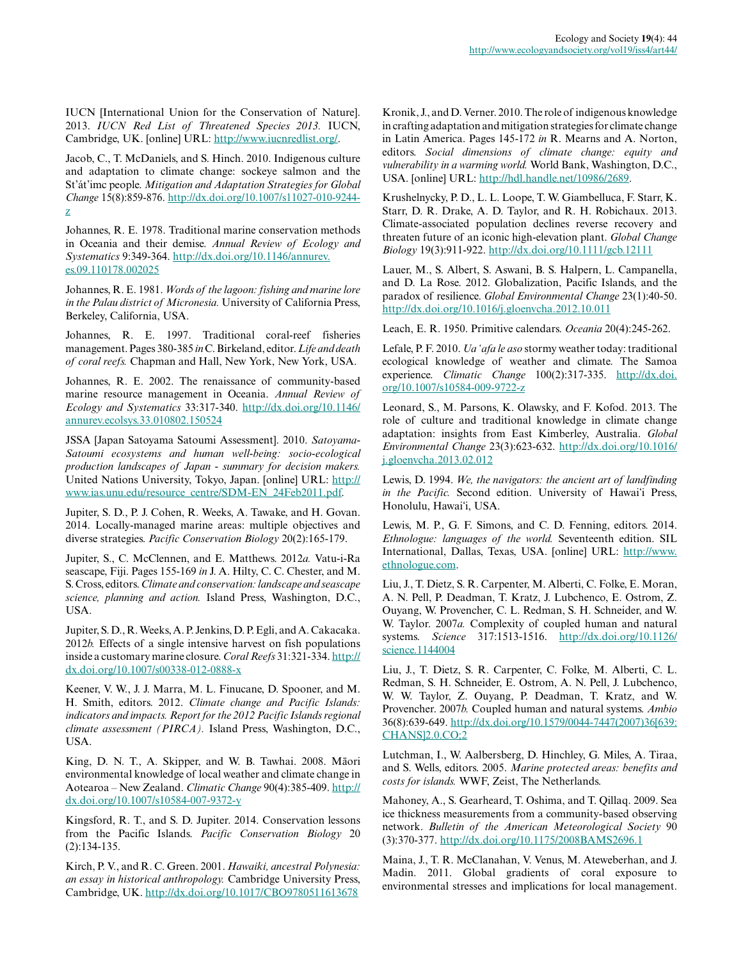IUCN [International Union for the Conservation of Nature]. 2013. *IUCN Red List of Threatened Species 2013.* IUCN, Cambridge, UK. [online] URL:<http://www.iucnredlist.org/>.

Jacob, C., T. McDaniels, and S. Hinch. 2010. Indigenous culture and adaptation to climate change: sockeye salmon and the St'át'imc people. *Mitigation and Adaptation Strategies for Global Change* 15(8):859-876. [http://dx.doi.org/10.1007/s11027-010-9244](http://dx.doi.org/10.1007%2Fs11027-010-9244-z) [z](http://dx.doi.org/10.1007%2Fs11027-010-9244-z)

Johannes, R. E. 1978. Traditional marine conservation methods in Oceania and their demise. *Annual Review of Ecology and Systematics* 9:349-364. [http://dx.doi.org/10.1146/annurev.](http://dx.doi.org/10.1146%2Fannurev.es.09.110178.002025) [es.09.110178.002025](http://dx.doi.org/10.1146%2Fannurev.es.09.110178.002025)

Johannes, R. E. 1981. *Words of the lagoon: fishing and marine lore in the Palau district of Micronesia.* University of California Press, Berkeley, California, USA.

Johannes, R. E. 1997. Traditional coral-reef fisheries management. Pages 380-385 *in* C. Birkeland, editor. *Life and death of coral reefs.* Chapman and Hall, New York, New York, USA.

Johannes, R. E. 2002. The renaissance of community-based marine resource management in Oceania. *Annual Review of Ecology and Systematics* 33:317-340. [http://dx.doi.org/10.1146/](http://dx.doi.org/10.1146%2Fannurev.ecolsys.33.010802.150524) [annurev.ecolsys.33.010802.150524](http://dx.doi.org/10.1146%2Fannurev.ecolsys.33.010802.150524)

JSSA [Japan Satoyama Satoumi Assessment]. 2010. *Satoyama-Satoumi ecosystems and human well-being: socio-ecological production landscapes of Japan - summary for decision makers.* United Nations University, Tokyo, Japan. [online] URL: [http://](http://www.ias.unu.edu/resource_centre/SDM-EN_24Feb2011.pdf) [www.ias.unu.edu/resource\\_centre/SDM-EN\\_24Feb2011.pdf.](http://www.ias.unu.edu/resource_centre/SDM-EN_24Feb2011.pdf)

Jupiter, S. D., P. J. Cohen, R. Weeks, A. Tawake, and H. Govan. 2014. Locally-managed marine areas: multiple objectives and diverse strategies. *Pacific Conservation Biology* 20(2):165-179.

Jupiter, S., C. McClennen, and E. Matthews. 2012*a.* Vatu-i-Ra seascape, Fiji. Pages 155-169 *in* J. A. Hilty, C. C. Chester, and M. S. Cross, editors. *Climate and conservation: landscape and seascape science, planning and action.* Island Press, Washington, D.C., USA.

Jupiter, S. D., R. Weeks, A. P. Jenkins, D. P. Egli, and A. Cakacaka. 2012*b.* Effects of a single intensive harvest on fish populations inside a customary marine closure. *Coral Reefs* 31:321-334. [http://](http://dx.doi.org/10.1007/s00338-012-0888-x) [dx.doi.org/10.1007/s00338-012-0888-x](http://dx.doi.org/10.1007/s00338-012-0888-x)

Keener, V. W., J. J. Marra, M. L. Finucane, D. Spooner, and M. H. Smith, editors. 2012. *Climate change and Pacific Islands: indicators and impacts. Report for the 2012 Pacific Islands regional climate assessment (PIRCA).* Island Press, Washington, D.C., USA.

King, D. N. T., A. Skipper, and W. B. Tawhai. 2008. Māori environmental knowledge of local weather and climate change in Aotearoa – New Zealand. *Climatic Change* 90(4):385-409. [http://](http://dx.doi.org/10.1007%2Fs10584-007-9372-y) [dx.doi.org/10.1007/s10584-007-9372-y](http://dx.doi.org/10.1007%2Fs10584-007-9372-y)

Kingsford, R. T., and S. D. Jupiter. 2014. Conservation lessons from the Pacific Islands. *Pacific Conservation Biology* 20 (2):134-135.

Kirch, P. V., and R. C. Green. 2001. *Hawaiki, ancestral Polynesia: an essay in historical anthropology.* Cambridge University Press, Cambridge, UK. [http://dx.doi.org/10.1017/CBO9780511613678](http://dx.doi.org/10.1017%2FCBO9780511613678)

Kronik, J., and D. Verner. 2010. The role of indigenous knowledge in crafting adaptation and mitigation strategies for climate change in Latin America. Pages 145-172 *in* R. Mearns and A. Norton, editors. *Social dimensions of climate change: equity and vulnerability in a warming world.* World Bank, Washington, D.C., USA. [online] URL: <http://hdl.handle.net/10986/2689>.

Krushelnycky, P. D., L. L. Loope, T. W. Giambelluca, F. Starr, K. Starr, D. R. Drake, A. D. Taylor, and R. H. Robichaux. 2013. Climate-associated population declines reverse recovery and threaten future of an iconic high-elevation plant. *Global Change Biology* 19(3):911-922. [http://dx.doi.org/10.1111/gcb.12111](http://dx.doi.org/10.1111%2Fgcb.12111)

Lauer, M., S. Albert, S. Aswani, B. S. Halpern, L. Campanella, and D. La Rose. 2012. Globalization, Pacific Islands, and the paradox of resilience. *Global Environmental Change* 23(1):40-50. [http://dx.doi.org/10.1016/j.gloenvcha.2012.10.011](http://dx.doi.org/10.1016%2Fj.gloenvcha.2012.10.011)

Leach, E. R. 1950. Primitive calendars. *Oceania* 20(4):245-262.

Lefale, P. F. 2010. *Ua 'afa le aso* stormy weather today: traditional ecological knowledge of weather and climate. The Samoa experience. *Climatic Change* 100(2):317-335. [http://dx.doi.](http://dx.doi.org/10.1007/s10584-009-9722-z) [org/10.1007/s10584-009-9722-z](http://dx.doi.org/10.1007/s10584-009-9722-z)

Leonard, S., M. Parsons, K. Olawsky, and F. Kofod. 2013. The role of culture and traditional knowledge in climate change adaptation: insights from East Kimberley, Australia. *Global Environmental Change* 23(3):623-632. [http://dx.doi.org/10.1016/](http://dx.doi.org/10.1016%2Fj.gloenvcha.2013.02.012) [j.gloenvcha.2013.02.012](http://dx.doi.org/10.1016%2Fj.gloenvcha.2013.02.012)

Lewis, D. 1994. *We, the navigators: the ancient art of landfinding in the Pacific.* Second edition. University of Hawaiʻi Press, Honolulu, Hawaiʻi, USA.

Lewis, M. P., G. F. Simons, and C. D. Fenning, editors. 2014. *Ethnologue: languages of the world.* Seventeenth edition. SIL International, Dallas, Texas, USA. [online] URL: [http://www.](http://www.ethnologue.com) [ethnologue.com.](http://www.ethnologue.com)

Liu, J., T. Dietz, S. R. Carpenter, M. Alberti, C. Folke, E. Moran, A. N. Pell, P. Deadman, T. Kratz, J. Lubchenco, E. Ostrom, Z. Ouyang, W. Provencher, C. L. Redman, S. H. Schneider, and W. W. Taylor. 2007*a.* Complexity of coupled human and natural systems. *Science* 317:1513-1516. [http://dx.doi.org/10.1126/](http://dx.doi.org/10.1126/science.1144004) [science.1144004](http://dx.doi.org/10.1126/science.1144004)

Liu, J., T. Dietz, S. R. Carpenter, C. Folke, M. Alberti, C. L. Redman, S. H. Schneider, E. Ostrom, A. N. Pell, J. Lubchenco, W. W. Taylor, Z. Ouyang, P. Deadman, T. Kratz, and W. Provencher. 2007*b.* Coupled human and natural systems. *Ambio* 36(8):639-649. [http://dx.doi.org/10.1579/0044-7447\(2007\)36\[639:](http://dx.doi.org/10.1579%2F0044-7447%282007%2936%5B639%3ACHANS%5D2.0.CO%3B2) [CHANS\]2.0.CO;2](http://dx.doi.org/10.1579%2F0044-7447%282007%2936%5B639%3ACHANS%5D2.0.CO%3B2)

Lutchman, I., W. Aalbersberg, D. Hinchley, G. Miles, A. Tiraa, and S. Wells, editors. 2005. *Marine protected areas: benefits and costs for islands.* WWF, Zeist, The Netherlands.

Mahoney, A., S. Gearheard, T. Oshima, and T. Qillaq. 2009. Sea ice thickness measurements from a community-based observing network. *Bulletin of the American Meteorological Society* 90 (3):370-377. [http://dx.doi.org/10.1175/2008BAMS2696.1](http://dx.doi.org/10.1175%2F2008BAMS2696.1)

Maina, J., T. R. McClanahan, V. Venus, M. Ateweberhan, and J. Madin. 2011. Global gradients of coral exposure to environmental stresses and implications for local management.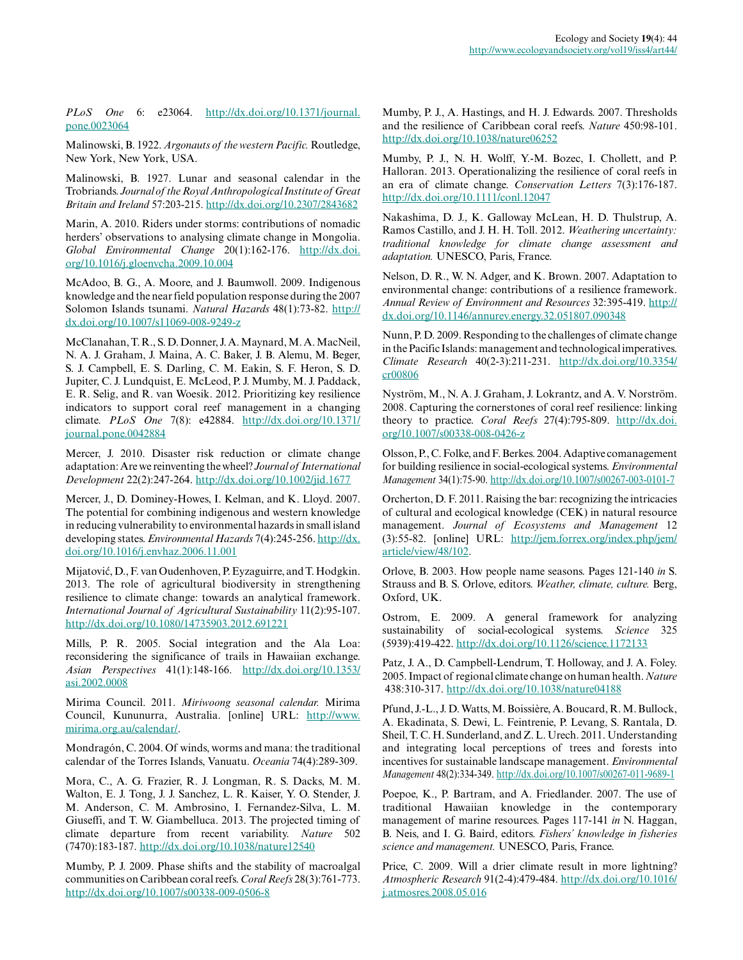*PLoS One* 6: e23064. [http://dx.doi.org/10.1371/journal.](http://dx.doi.org/10.1371%2Fjournal.pone.0023064) [pone.0023064](http://dx.doi.org/10.1371%2Fjournal.pone.0023064)

Malinowski, B. 1922. *Argonauts of the western Pacific.* Routledge, New York, New York, USA.

Malinowski, B. 1927. Lunar and seasonal calendar in the Trobriands. *Journal of the Royal Anthropological Institute of Great Britain and Ireland* 57:203-215. [http://dx.doi.org/10.2307/2843682](http://dx.doi.org/10.2307%2F2843682)

Marin, A. 2010. Riders under storms: contributions of nomadic herders' observations to analysing climate change in Mongolia. *Global Environmental Change* 20(1):162-176. [http://dx.doi.](http://dx.doi.org/10.1016%2Fj.gloenvcha.2009.10.004) [org/10.1016/j.gloenvcha.2009.10.004](http://dx.doi.org/10.1016%2Fj.gloenvcha.2009.10.004)

McAdoo, B. G., A. Moore, and J. Baumwoll. 2009. Indigenous knowledge and the near field population response during the 2007 Solomon Islands tsunami. *Natural Hazards* 48(1):73-82. [http://](http://dx.doi.org/10.1007%2Fs11069-008-9249-z) [dx.doi.org/10.1007/s11069-008-9249-z](http://dx.doi.org/10.1007%2Fs11069-008-9249-z)

McClanahan, T. R., S. D. Donner, J. A. Maynard, M. A. MacNeil, N. A. J. Graham, J. Maina, A. C. Baker, J. B. Alemu, M. Beger, S. J. Campbell, E. S. Darling, C. M. Eakin, S. F. Heron, S. D. Jupiter, C. J. Lundquist, E. McLeod, P. J. Mumby, M. J. Paddack, E. R. Selig, and R. van Woesik. 2012. Prioritizing key resilience indicators to support coral reef management in a changing climate. *PLoS One* 7(8): e42884. [http://dx.doi.org/10.1371/](http://dx.doi.org/10.1371/journal.pone.0042884) [journal.pone.0042884](http://dx.doi.org/10.1371/journal.pone.0042884)

Mercer, J. 2010. Disaster risk reduction or climate change adaptation: Are we reinventing the wheel? *Journal of International Development* 22(2):247-264.<http://dx.doi.org/10.1002/jid.1677>

Mercer, J., D. Dominey-Howes, I. Kelman, and K. Lloyd. 2007. The potential for combining indigenous and western knowledge in reducing vulnerability to environmental hazards in small island developing states. *Environmental Hazards* 7(4):245-256. [http://dx.](http://dx.doi.org/10.1016%2Fj.envhaz.2006.11.001) [doi.org/10.1016/j.envhaz.2006.11.001](http://dx.doi.org/10.1016%2Fj.envhaz.2006.11.001)

Mijatović, D., F. van Oudenhoven, P. Eyzaguirre, and T. Hodgkin. 2013. The role of agricultural biodiversity in strengthening resilience to climate change: towards an analytical framework. *International Journal of Agricultural Sustainability* 11(2):95-107. <http://dx.doi.org/10.1080/14735903.2012.691221>

Mills, P. R. 2005. Social integration and the Ala Loa: reconsidering the significance of trails in Hawaiian exchange. *Asian Perspectives* 41(1):148-166. [http://dx.doi.org/10.1353/](http://dx.doi.org/10.1353%2Fasi.2002.0008) [asi.2002.0008](http://dx.doi.org/10.1353%2Fasi.2002.0008)

Mirima Council. 2011. *Miriwoong seasonal calendar.* Mirima Council, Kununurra, Australia. [online] URL: [http://www.](http://www.mirima.org.au/calendar/) [mirima.org.au/calendar/](http://www.mirima.org.au/calendar/).

Mondragón, C. 2004. Of winds, worms and mana: the traditional calendar of the Torres Islands, Vanuatu. *Oceania* 74(4):289-309.

Mora, C., A. G. Frazier, R. J. Longman, R. S. Dacks, M. M. Walton, E. J. Tong, J. J. Sanchez, L. R. Kaiser, Y. O. Stender, J. M. Anderson, C. M. Ambrosino, I. Fernandez-Silva, L. M. Giuseffi, and T. W. Giambelluca. 2013. The projected timing of climate departure from recent variability. *Nature* 502 (7470):183-187. [http://dx.doi.org/10.1038/nature12540](http://dx.doi.org/10.1038%2Fnature12540)

Mumby, P. J. 2009. Phase shifts and the stability of macroalgal communities on Caribbean coral reefs. *Coral Reefs* 28(3):761-773. [http://dx.doi.org/10.1007/s00338-009-0506-8](http://dx.doi.org/10.1007%2Fs00338-009-0506-8)

Mumby, P. J., A. Hastings, and H. J. Edwards. 2007. Thresholds and the resilience of Caribbean coral reefs. *Nature* 450:98-101. [http://dx.doi.org/10.1038/nature06252](http://dx.doi.org/10.1038%2Fnature06252)

Mumby, P. J., N. H. Wolff, Y.-M. Bozec, I. Chollett, and P. Halloran. 2013. Operationalizing the resilience of coral reefs in an era of climate change. *Conservation Letters* 7(3):176-187. [http://dx.doi.org/10.1111/conl.12047](http://dx.doi.org/10.1111%2Fconl.12047)

Nakashima, D. J., K. Galloway McLean, H. D. Thulstrup, A. Ramos Castillo, and J. H. H. Toll. 2012. *Weathering uncertainty: traditional knowledge for climate change assessment and adaptation.* UNESCO, Paris, France.

Nelson, D. R., W. N. Adger, and K. Brown. 2007. Adaptation to environmental change: contributions of a resilience framework. *Annual Review of Environment and Resources* 32:395-419. [http://](http://dx.doi.org/10.1146%2Fannurev.energy.32.051807.090348) [dx.doi.org/10.1146/annurev.energy.32.051807.090348](http://dx.doi.org/10.1146%2Fannurev.energy.32.051807.090348)

Nunn, P. D. 2009. Responding to the challenges of climate change in the Pacific Islands: management and technological imperatives. *Climate Research* 40(2-3):211-231. [http://dx.doi.org/10.3354/](http://dx.doi.org/10.3354%2Fcr00806) [cr00806](http://dx.doi.org/10.3354%2Fcr00806)

Nyström, M., N. A. J. Graham, J. Lokrantz, and A. V. Norström. 2008. Capturing the cornerstones of coral reef resilience: linking theory to practice. *Coral Reefs* 27(4):795-809. [http://dx.doi.](http://dx.doi.org/10.1007%2Fs00338-008-0426-z) [org/10.1007/s00338-008-0426-z](http://dx.doi.org/10.1007%2Fs00338-008-0426-z)

Olsson, P., C. Folke, and F. Berkes. 2004. Adaptive comanagement for building resilience in social-ecological systems. *Environmental Management* 34(1):75-90. [http://dx.doi.org/10.1007/s00267-003-0101-7](http://dx.doi.org/10.1007%2Fs00267-003-0101-7)

Orcherton, D. F. 2011. Raising the bar: recognizing the intricacies of cultural and ecological knowledge (CEK) in natural resource management. *Journal of Ecosystems and Management* 12 (3):55-82. [online] URL: [http://jem.forrex.org/index.php/jem/](http://jem.forrex.org/index.php/jem/article/view/48/102) [article/view/48/102](http://jem.forrex.org/index.php/jem/article/view/48/102).

Orlove, B. 2003. How people name seasons. Pages 121-140 *in* S. Strauss and B. S. Orlove, editors. *Weather, climate, culture.* Berg, Oxford, UK.

Ostrom, E. 2009. A general framework for analyzing sustainability of social-ecological systems. *Science* 325 (5939):419-422. [http://dx.doi.org/10.1126/science.1172133](http://dx.doi.org/10.1126%2Fscience.1172133)

Patz, J. A., D. Campbell-Lendrum, T. Holloway, and J. A. Foley. 2005. Impact of regional climate change on human health. *Nature* 438:310-317. [http://dx.doi.org/10.1038/nature04188](http://dx.doi.org/10.1038%2Fnature04188)

Pfund, J.-L., J. D. Watts, M. Boissière, A. Boucard, R. M. Bullock, A. Ekadinata, S. Dewi, L. Feintrenie, P. Levang, S. Rantala, D. Sheil, T. C. H. Sunderland, and Z. L. Urech. 2011. Understanding and integrating local perceptions of trees and forests into incentives for sustainable landscape management. *Environmental Management* 48(2):334-349. [http://dx.doi.org/10.1007/s00267-011-9689-1](http://dx.doi.org/10.1007%2Fs00267-011-9689-1)

Poepoe, K., P. Bartram, and A. Friedlander. 2007. The use of traditional Hawaiian knowledge in the contemporary management of marine resources. Pages 117-141 *in* N. Haggan, B. Neis, and I. G. Baird, editors. *Fishers' knowledge in fisheries science and management.* UNESCO, Paris, France.

Price, C. 2009. Will a drier climate result in more lightning? *Atmospheric Research* 91(2-4):479-484. [http://dx.doi.org/10.1016/](http://dx.doi.org/10.1016/j.atmosres.2008.05.016) [j.atmosres.2008.05.016](http://dx.doi.org/10.1016/j.atmosres.2008.05.016)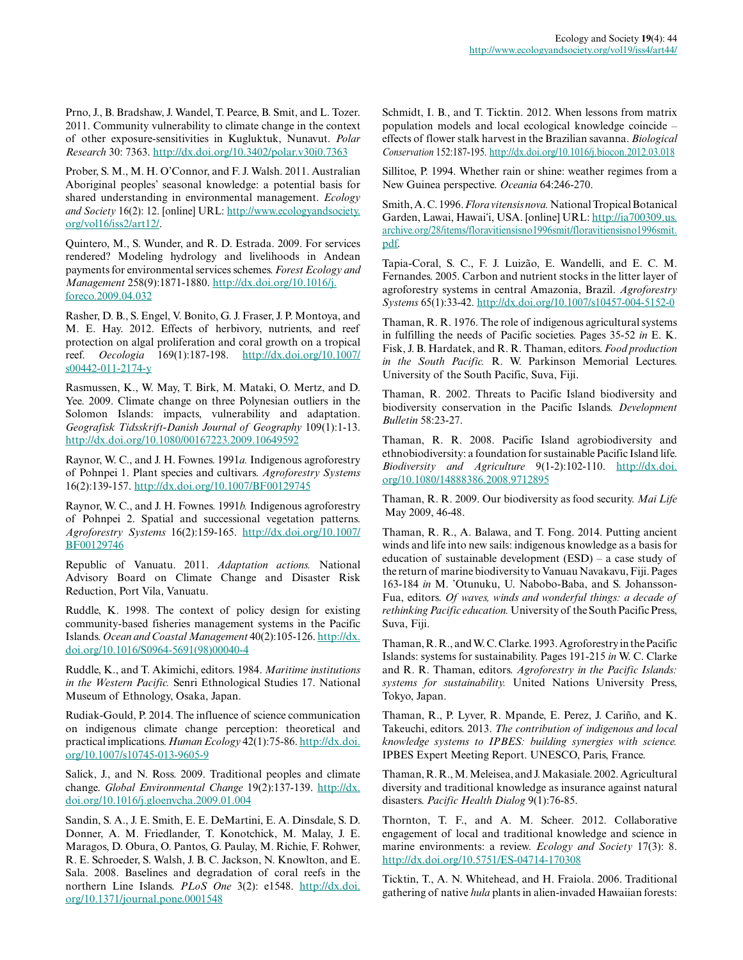Prno, J., B. Bradshaw, J. Wandel, T. Pearce, B. Smit, and L. Tozer. 2011. Community vulnerability to climate change in the context of other exposure-sensitivities in Kugluktuk, Nunavut. *Polar Research* 30: 7363. [http://dx.doi.org/10.3402/polar.v30i0.7363](http://dx.doi.org/10.3402%2Fpolar.v30i0.7363)

Prober, S. M., M. H. O'Connor, and F. J. Walsh. 2011. Australian Aboriginal peoples' seasonal knowledge: a potential basis for shared understanding in environmental management. *Ecology and Society* 16(2): 12. [online] URL: [http://www.ecologyandsociety.](http://www.ecologyandsociety.org/vol16/iss2/art12/) [org/vol16/iss2/art12/](http://www.ecologyandsociety.org/vol16/iss2/art12/).

Quintero, M., S. Wunder, and R. D. Estrada. 2009. For services rendered? Modeling hydrology and livelihoods in Andean payments for environmental services schemes. *Forest Ecology and Management* 258(9):1871-1880. [http://dx.doi.org/10.1016/j.](http://dx.doi.org/10.1016%2Fj.foreco.2009.04.032) [foreco.2009.04.032](http://dx.doi.org/10.1016%2Fj.foreco.2009.04.032)

Rasher, D. B., S. Engel, V. Bonito, G. J. Fraser, J. P. Montoya, and M. E. Hay. 2012. Effects of herbivory, nutrients, and reef protection on algal proliferation and coral growth on a tropical reef. *Oecologia* 169(1):187-198. [http://dx.doi.org/10.1007/](http://dx.doi.org/10.1007%2Fs00442-011-2174-y) [s00442-011-2174-y](http://dx.doi.org/10.1007%2Fs00442-011-2174-y)

Rasmussen, K., W. May, T. Birk, M. Mataki, O. Mertz, and D. Yee. 2009. Climate change on three Polynesian outliers in the Solomon Islands: impacts, vulnerability and adaptation. *Geografisk Tidsskrift-Danish Journal of Geography* 109(1):1-13. [http://dx.doi.org/10.1080/00167223.2009.10649592](http://dx.doi.org/10.1080%2F00167223.2009.10649592)

Raynor, W. C., and J. H. Fownes. 1991*a.* Indigenous agroforestry of Pohnpei 1. Plant species and cultivars. *Agroforestry Systems* 16(2):139-157. <http://dx.doi.org/10.1007/BF00129745>

Raynor, W. C., and J. H. Fownes. 1991*b.* Indigenous agroforestry of Pohnpei 2. Spatial and successional vegetation patterns. *Agroforestry Systems* 16(2):159-165. [http://dx.doi.org/10.1007/](http://dx.doi.org/10.1007/BF00129746) [BF00129746](http://dx.doi.org/10.1007/BF00129746)

Republic of Vanuatu. 2011. *Adaptation actions.* National Advisory Board on Climate Change and Disaster Risk Reduction, Port Vila, Vanuatu.

Ruddle, K. 1998. The context of policy design for existing community-based fisheries management systems in the Pacific Islands. *Ocean and Coastal Management* 40(2):105-126. [http://dx.](http://dx.doi.org/10.1016%2FS0964-5691%2898%2900040-4) [doi.org/10.1016/S0964-5691\(98\)00040-4](http://dx.doi.org/10.1016%2FS0964-5691%2898%2900040-4)

Ruddle, K., and T. Akimichi, editors. 1984. *Maritime institutions in the Western Pacific.* Senri Ethnological Studies 17. National Museum of Ethnology, Osaka, Japan.

Rudiak-Gould, P. 2014. The influence of science communication on indigenous climate change perception: theoretical and practical implications. *Human Ecology* 42(1):75-86. [http://dx.doi.](http://dx.doi.org/10.1007%2Fs10745-013-9605-9) [org/10.1007/s10745-013-9605-9](http://dx.doi.org/10.1007%2Fs10745-013-9605-9)

Salick, J., and N. Ross. 2009. Traditional peoples and climate change. *Global Environmental Change* 19(2):137-139. [http://dx.](http://dx.doi.org/10.1016/j.gloenvcha.2009.01.004) [doi.org/10.1016/j.gloenvcha.2009.01.004](http://dx.doi.org/10.1016/j.gloenvcha.2009.01.004)

Sandin, S. A., J. E. Smith, E. E. DeMartini, E. A. Dinsdale, S. D. Donner, A. M. Friedlander, T. Konotchick, M. Malay, J. E. Maragos, D. Obura, O. Pantos, G. Paulay, M. Richie, F. Rohwer, R. E. Schroeder, S. Walsh, J. B. C. Jackson, N. Knowlton, and E. Sala. 2008. Baselines and degradation of coral reefs in the northern Line Islands. *PLoS One* 3(2): e1548. [http://dx.doi.](http://dx.doi.org/10.1371%2Fjournal.pone.0001548) [org/10.1371/journal.pone.0001548](http://dx.doi.org/10.1371%2Fjournal.pone.0001548)

Schmidt, I. B., and T. Ticktin. 2012. When lessons from matrix population models and local ecological knowledge coincide – effects of flower stalk harvest in the Brazilian savanna. *Biological Conservation* 152:187-195. [http://dx.doi.org/10.1016/j.biocon.2012.03.018](http://dx.doi.org/10.1016%2Fj.biocon.2012.03.018)

Sillitoe, P. 1994. Whether rain or shine: weather regimes from a New Guinea perspective. *Oceania* 64:246-270.

Smith, A. C. 1996. *Flora vitensis nova.* National Tropical Botanical Garden, Lawai, Hawaiʻi, USA. [online] URL: [http://ia700309.us.](http://ia700309.us.archive.org/28/items/floravitiensisno1996smit/floravitiensisno1996smit.pdf) [archive.org/28/items/floravitiensisno1996smit/floravitiensisno1996smit.](http://ia700309.us.archive.org/28/items/floravitiensisno1996smit/floravitiensisno1996smit.pdf) [pdf.](http://ia700309.us.archive.org/28/items/floravitiensisno1996smit/floravitiensisno1996smit.pdf)

Tapia-Coral, S. C., F. J. Luizão, E. Wandelli, and E. C. M. Fernandes. 2005. Carbon and nutrient stocks in the litter layer of agroforestry systems in central Amazonia, Brazil. *Agroforestry Systems* 65(1):33-42. [http://dx.doi.org/10.1007/s10457-004-5152-0](http://dx.doi.org/10.1007%2Fs10457-004-5152-0)

Thaman, R. R. 1976. The role of indigenous agricultural systems in fulfilling the needs of Pacific societies. Pages 35-52 *in* E. K. Fisk, J. B. Hardatek, and R. R. Thaman, editors. *Food production in the South Pacific.* R. W. Parkinson Memorial Lectures. University of the South Pacific, Suva, Fiji.

Thaman, R. 2002. Threats to Pacific Island biodiversity and biodiversity conservation in the Pacific Islands. *Development Bulletin* 58:23-27.

Thaman, R. R. 2008. Pacific Island agrobiodiversity and ethnobiodiversity: a foundation for sustainable Pacific Island life. *Biodiversity and Agriculture* 9(1-2):102-110. [http://dx.doi.](http://dx.doi.org/10.1080%2F14888386.2008.9712895) [org/10.1080/14888386.2008.9712895](http://dx.doi.org/10.1080%2F14888386.2008.9712895)

Thaman, R. R. 2009. Our biodiversity as food security. *Mai Life* May 2009, 46-48.

Thaman, R. R., A. Balawa, and T. Fong. 2014. Putting ancient winds and life into new sails: indigenous knowledge as a basis for education of sustainable development (ESD) – a case study of the return of marine biodiversity to Vanuau Navakavu, Fiji. Pages 163-184 *in* M. 'Otunuku, U. Nabobo-Baba, and S. Johansson-Fua, editors. *Of waves, winds and wonderful things: a decade of rethinking Pacific education.* University of the South Pacific Press, Suva, Fiji.

Thaman, R. R., and W. C. Clarke. 1993. Agroforestry in the Pacific Islands: systems for sustainability. Pages 191-215 *in* W. C. Clarke and R. R. Thaman, editors. *Agroforestry in the Pacific Islands: systems for sustainability.* United Nations University Press, Tokyo, Japan.

Thaman, R., P. Lyver, R. Mpande, E. Perez, J. Cariño, and K. Takeuchi, editors. 2013. *The contribution of indigenous and local knowledge systems to IPBES: building synergies with science.* IPBES Expert Meeting Report. UNESCO, Paris, France.

Thaman, R. R., M. Meleisea, and J. Makasiale. 2002. Agricultural diversity and traditional knowledge as insurance against natural disasters. *Pacific Health Dialog* 9(1):76-85.

Thornton, T. F., and A. M. Scheer. 2012. Collaborative engagement of local and traditional knowledge and science in marine environments: a review. *Ecology and Society* 17(3): 8. [http://dx.doi.org/10.5751/ES-04714-170308](http://dx.doi.org/10.5751%2FES-04714-170308)

Ticktin, T., A. N. Whitehead, and H. Fraiola. 2006. Traditional gathering of native *hula* plants in alien-invaded Hawaiian forests: